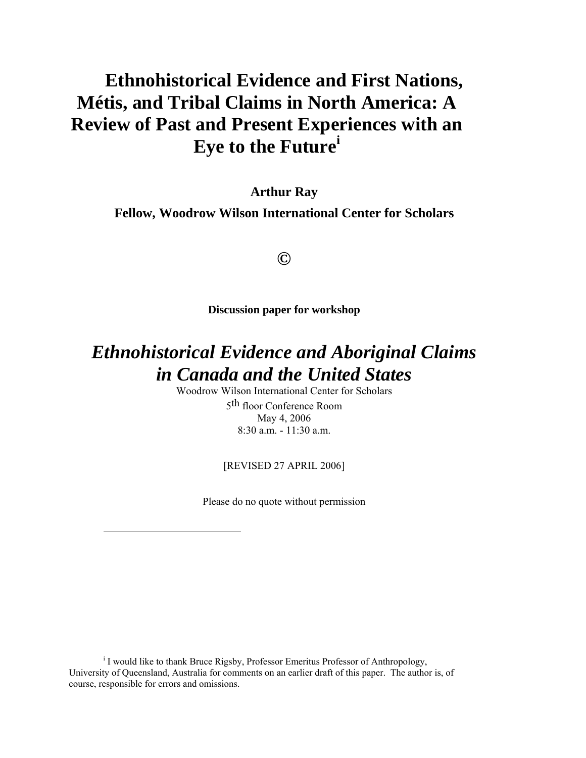# **Ethnohistorical Evidence and First Nations, Métis, and Tribal Claims in North America: A Review of Past and Present Experiences with an Eye to the Future[i](#page-0-0)**

**Arthur Ray** 

**Fellow, Woodrow Wilson International Center for Scholars** 

## **©**

**Discussion paper for workshop** 

# *Ethnohistorical Evidence and Aboriginal Claims in Canada and the United States*

Woodrow Wilson International Center for Scholars 5th floor Conference Room May 4, 2006 8:30 a.m. - 11:30 a.m.

[REVISED 27 APRIL 2006]

Please do no quote without permission

 $\overline{a}$ 

<span id="page-0-0"></span><sup>i</sup> I would like to thank Bruce Rigsby, Professor Emeritus Professor of Anthropology, University of Queensland, Australia for comments on an earlier draft of this paper. The author is, of course, responsible for errors and omissions.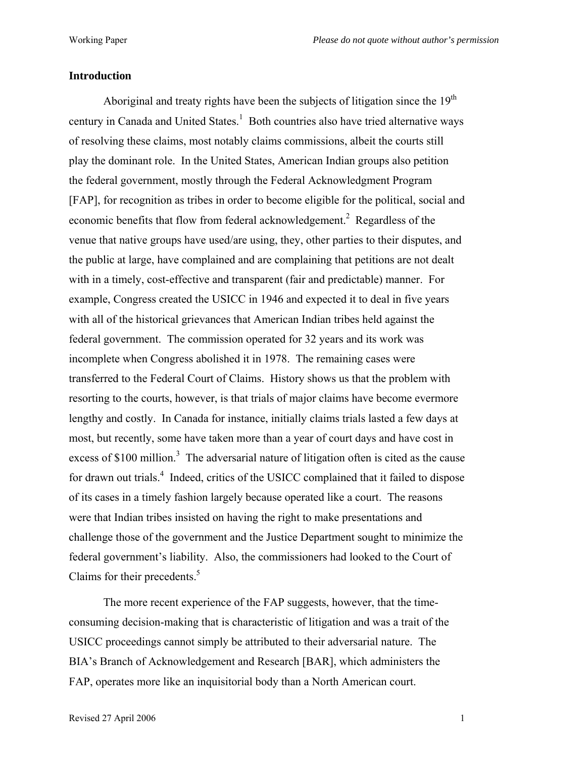### **Introduction**

Aboriginal and treaty rights have been the subjects of litigation since the  $19<sup>th</sup>$ century in Canada and United States.<sup>[1](#page-37-0)</sup> Both countries also have tried alternative ways of resolving these claims, most notably claims commissions, albeit the courts still play the dominant role. In the United States, American Indian groups also petition the federal government, mostly through the Federal Acknowledgment Program [FAP], for recognition as tribes in order to become eligible for the political, social and economic benefits that flow from federal acknowledgement.<sup>[2](#page-37-1)</sup> Regardless of the venue that native groups have used/are using, they, other parties to their disputes, and the public at large, have complained and are complaining that petitions are not dealt with in a timely, cost-effective and transparent (fair and predictable) manner. For example, Congress created the USICC in 1946 and expected it to deal in five years with all of the historical grievances that American Indian tribes held against the federal government. The commission operated for 32 years and its work was incomplete when Congress abolished it in 1978. The remaining cases were transferred to the Federal Court of Claims. History shows us that the problem with resorting to the courts, however, is that trials of major claims have become evermore lengthy and costly. In Canada for instance, initially claims trials lasted a few days at most, but recently, some have taken more than a year of court days and have cost in excess of \$100 million.<sup>3</sup> The adversarial nature of litigation often is cited as the cause for drawn out trials.<sup>[4](#page-37-3)</sup> Indeed, critics of the USICC complained that it failed to dispose of its cases in a timely fashion largely because operated like a court. The reasons were that Indian tribes insisted on having the right to make presentations and challenge those of the government and the Justice Department sought to minimize the federal government's liability. Also, the commissioners had looked to the Court of Claims for their precedents.<sup>5</sup>

The more recent experience of the FAP suggests, however, that the timeconsuming decision-making that is characteristic of litigation and was a trait of the USICC proceedings cannot simply be attributed to their adversarial nature. The BIA's Branch of Acknowledgement and Research [BAR], which administers the FAP, operates more like an inquisitorial body than a North American court.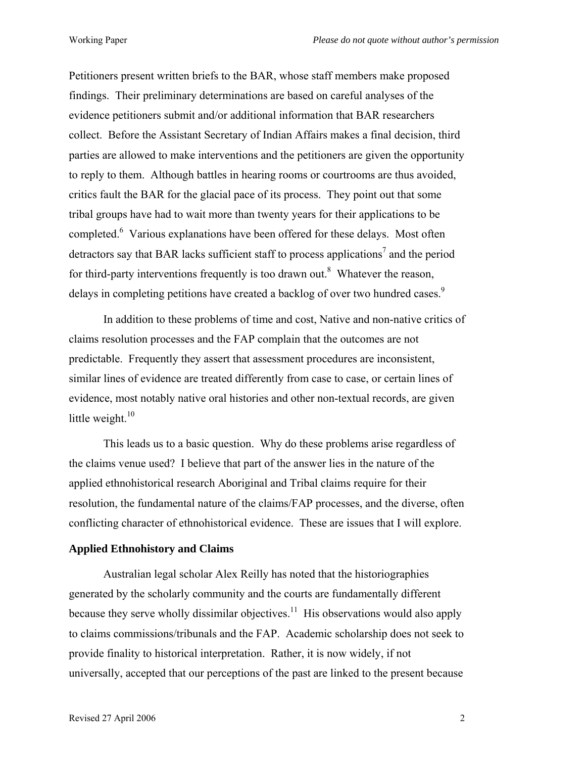Petitioners present written briefs to the BAR, whose staff members make proposed findings. Their preliminary determinations are based on careful analyses of the evidence petitioners submit and/or additional information that BAR researchers collect. Before the Assistant Secretary of Indian Affairs makes a final decision, third parties are allowed to make interventions and the petitioners are given the opportunity to reply to them. Although battles in hearing rooms or courtrooms are thus avoided, critics fault the BAR for the glacial pace of its process. They point out that some tribal groups have had to wait more than twenty years for their applications to be completed.<sup>[6](#page-37-5)</sup> Various explanations have been offered for these delays. Most often detractors say that BAR lacks sufficient staff to process applications<sup>[7](#page-37-6)</sup> and the period for third-party interventions frequently is too drawn out.<sup>8</sup> Whatever the reason, delays in completing petitions have created a backlog of over two hundred cases.<sup>[9](#page-37-8)</sup>

In addition to these problems of time and cost, Native and non-native critics of claims resolution processes and the FAP complain that the outcomes are not predictable. Frequently they assert that assessment procedures are inconsistent, similar lines of evidence are treated differently from case to case, or certain lines of evidence, most notably native oral histories and other non-textual records, are given little weight. $10<sup>10</sup>$  $10<sup>10</sup>$ 

This leads us to a basic question. Why do these problems arise regardless of the claims venue used? I believe that part of the answer lies in the nature of the applied ethnohistorical research Aboriginal and Tribal claims require for their resolution, the fundamental nature of the claims/FAP processes, and the diverse, often conflicting character of ethnohistorical evidence. These are issues that I will explore.

#### **Applied Ethnohistory and Claims**

Australian legal scholar Alex Reilly has noted that the historiographies generated by the scholarly community and the courts are fundamentally different because they serve wholly dissimilar objectives.<sup>11</sup> His observations would also apply to claims commissions/tribunals and the FAP. Academic scholarship does not seek to provide finality to historical interpretation. Rather, it is now widely, if not universally, accepted that our perceptions of the past are linked to the present because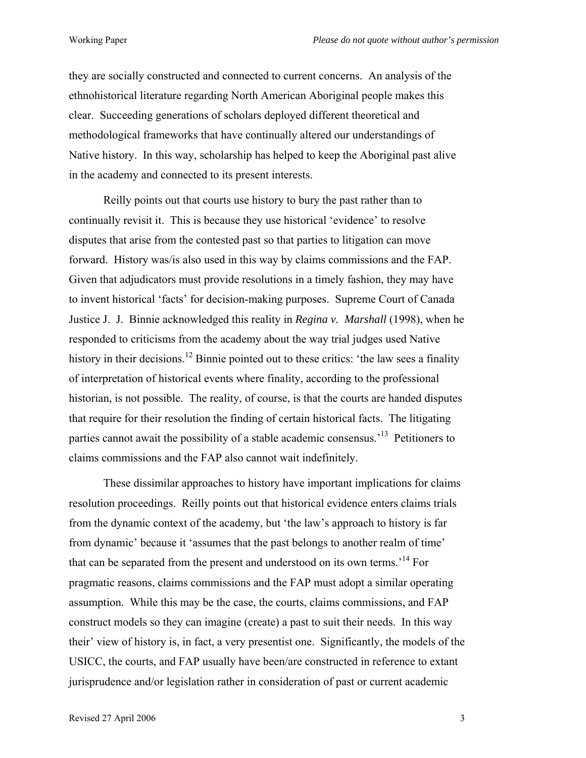they are socially constructed and connected to current concerns. An analysis of the ethnohistorical literature regarding North American Aboriginal people makes this clear. Succeeding generations of scholars deployed different theoretical and methodological frameworks that have continually altered our understandings of Native history. In this way, scholarship has helped to keep the Aboriginal past alive in the academy and connected to its present interests.

Reilly points out that courts use history to bury the past rather than to continually revisit it. This is because they use historical 'evidence' to resolve disputes that arise from the contested past so that parties to litigation can move forward. History was/is also used in this way by claims commissions and the FAP. Given that adjudicators must provide resolutions in a timely fashion, they may have to invent historical 'facts' for decision-making purposes. Supreme Court of Canada Justice J. J. Binnie acknowledged this reality in *Regina v. Marshall* (1998), when he responded to criticisms from the academy about the way trial judges used Native history in their decisions.<sup>12</sup> Binnie pointed out to these critics: 'the law sees a finality of interpretation of historical events where finality, according to the professional historian, is not possible. The reality, of course, is that the courts are handed disputes that require for their resolution the finding of certain historical facts. The litigating parties cannot await the possibility of a stable academic consensus.<sup>13</sup> Petitioners to claims commissions and the FAP also cannot wait indefinitely.

These dissimilar approaches to history have important implications for claims resolution proceedings. Reilly points out that historical evidence enters claims trials from the dynamic context of the academy, but 'the law's approach to history is far from dynamic' because it 'assumes that the past belongs to another realm of time' that can be separated from the present and understood on its own terms.['14](#page-37-13) For pragmatic reasons, claims commissions and the FAP must adopt a similar operating assumption. While this may be the case, the courts, claims commissions, and FAP construct models so they can imagine (create) a past to suit their needs. In this way their' view of history is, in fact, a very presentist one. Significantly, the models of the USICC, the courts, and FAP usually have been/are constructed in reference to extant jurisprudence and/or legislation rather in consideration of past or current academic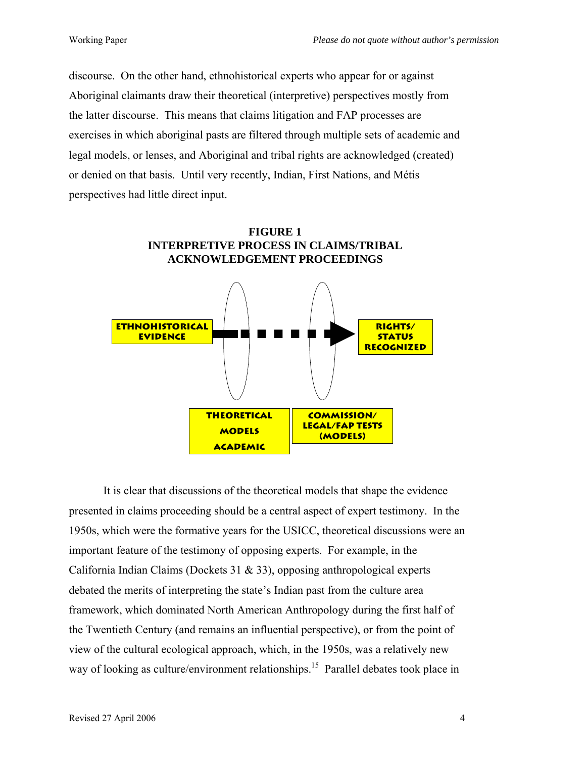discourse. On the other hand, ethnohistorical experts who appear for or against Aboriginal claimants draw their theoretical (interpretive) perspectives mostly from the latter discourse. This means that claims litigation and FAP processes are exercises in which aboriginal pasts are filtered through multiple sets of academic and legal models, or lenses, and Aboriginal and tribal rights are acknowledged (created) or denied on that basis. Until very recently, Indian, First Nations, and Métis perspectives had little direct input.



It is clear that discussions of the theoretical models that shape the evidence presented in claims proceeding should be a central aspect of expert testimony. In the 1950s, which were the formative years for the USICC, theoretical discussions were an important feature of the testimony of opposing experts. For example, in the California Indian Claims (Dockets 31 & 33), opposing anthropological experts debated the merits of interpreting the state's Indian past from the culture area framework, which dominated North American Anthropology during the first half of the Twentieth Century (and remains an influential perspective), or from the point of view of the cultural ecological approach, which, in the 1950s, was a relatively new way of looking as culture/environment relationships.<sup>15</sup> Parallel debates took place in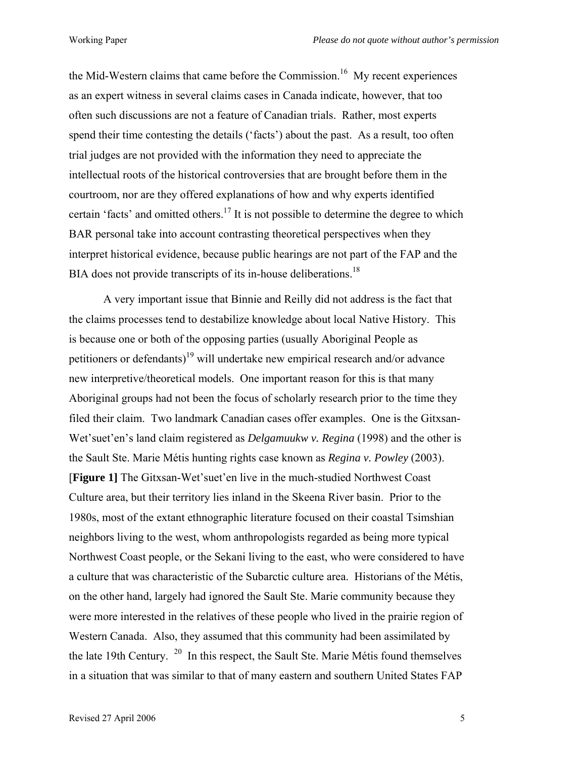the Mid-Western claims that came before the Commission.<sup>16</sup> My recent experiences as an expert witness in several claims cases in Canada indicate, however, that too often such discussions are not a feature of Canadian trials. Rather, most experts spend their time contesting the details ('facts') about the past. As a result, too often trial judges are not provided with the information they need to appreciate the intellectual roots of the historical controversies that are brought before them in the courtroom, nor are they offered explanations of how and why experts identified certain 'facts' and omitted others.<sup>17</sup> It is not possible to determine the degree to which BAR personal take into account contrasting theoretical perspectives when they interpret historical evidence, because public hearings are not part of the FAP and the BIA does not provide transcripts of its in-house deliberations.<sup>18</sup>

A very important issue that Binnie and Reilly did not address is the fact that the claims processes tend to destabilize knowledge about local Native History. This is because one or both of the opposing parties (usually Aboriginal People as petitioners or defendants)<sup>19</sup> will undertake new empirical research and/or advance new interpretive/theoretical models. One important reason for this is that many Aboriginal groups had not been the focus of scholarly research prior to the time they filed their claim. Two landmark Canadian cases offer examples. One is the Gitxsan-Wet'suet'en's land claim registered as *Delgamuukw v. Regina* (1998) and the other is the Sault Ste. Marie Métis hunting rights case known as *Regina v. Powley* (2003). [**Figure 1]** The Gitxsan-Wet'suet'en live in the much-studied Northwest Coast Culture area, but their territory lies inland in the Skeena River basin. Prior to the 1980s, most of the extant ethnographic literature focused on their coastal Tsimshian neighbors living to the west, whom anthropologists regarded as being more typical Northwest Coast people, or the Sekani living to the east, who were considered to have a culture that was characteristic of the Subarctic culture area. Historians of the Métis, on the other hand, largely had ignored the Sault Ste. Marie community because they were more interested in the relatives of these people who lived in the prairie region of Western Canada. Also, they assumed that this community had been assimilated by the late 19th Century.  $20 \text{ In this respect, the Sault Ste. Marie Métis found themselves}$  $20 \text{ In this respect, the Sault Ste. Marie Métis found themselves}$ in a situation that was similar to that of many eastern and southern United States FAP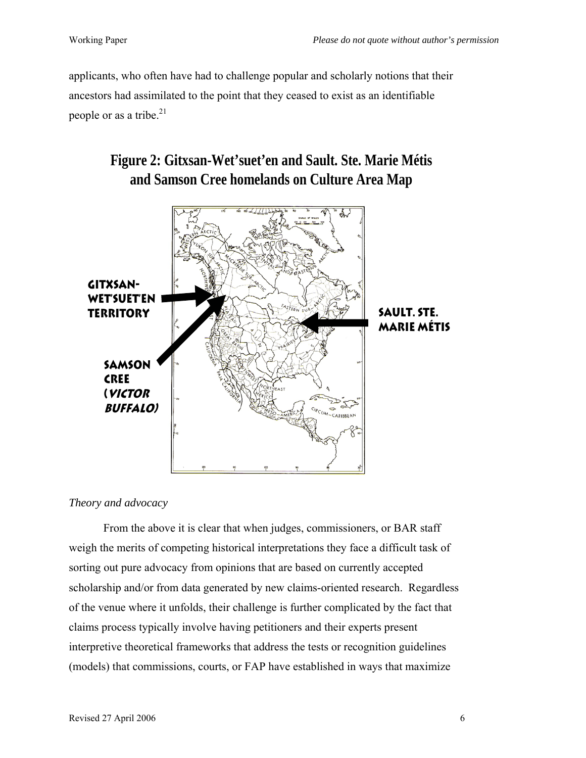applicants, who often have had to challenge popular and scholarly notions that their ancestors had assimilated to the point that they ceased to exist as an identifiable people or as a tribe. $21$ 

# **Figure 2: Gitxsan-Wet'suet'en and Sault. Ste. Marie Métis and Samson Cree homelands on Culture Area Map**



### *Theory and advocacy*

From the above it is clear that when judges, commissioners, or BAR staff weigh the merits of competing historical interpretations they face a difficult task of sorting out pure advocacy from opinions that are based on currently accepted scholarship and/or from data generated by new claims-oriented research. Regardless of the venue where it unfolds, their challenge is further complicated by the fact that claims process typically involve having petitioners and their experts present interpretive theoretical frameworks that address the tests or recognition guidelines (models) that commissions, courts, or FAP have established in ways that maximize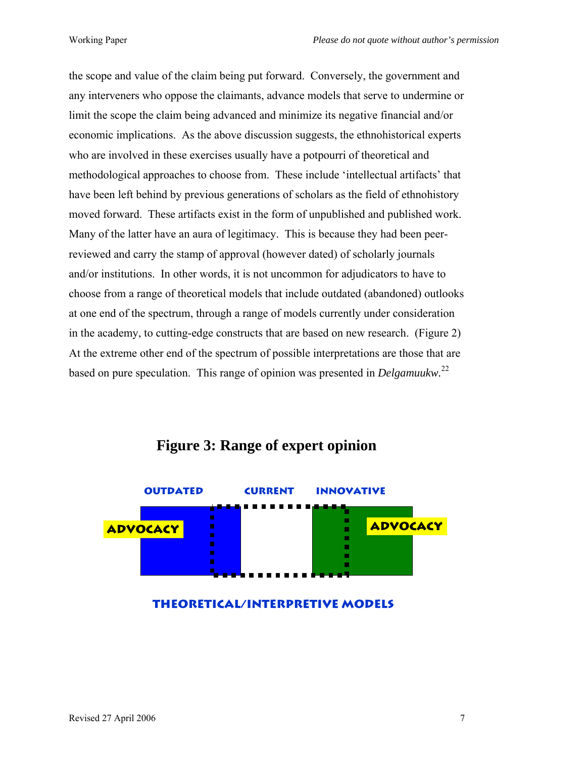the scope and value of the claim being put forward. Conversely, the government and any interveners who oppose the claimants, advance models that serve to undermine or limit the scope the claim being advanced and minimize its negative financial and/or economic implications. As the above discussion suggests, the ethnohistorical experts who are involved in these exercises usually have a potpourri of theoretical and methodological approaches to choose from. These include 'intellectual artifacts' that have been left behind by previous generations of scholars as the field of ethnohistory moved forward. These artifacts exist in the form of unpublished and published work. Many of the latter have an aura of legitimacy. This is because they had been peerreviewed and carry the stamp of approval (however dated) of scholarly journals and/or institutions. In other words, it is not uncommon for adjudicators to have to choose from a range of theoretical models that include outdated (abandoned) outlooks at one end of the spectrum, through a range of models currently under consideration in the academy, to cutting-edge constructs that are based on new research. (Figure 2) At the extreme other end of the spectrum of possible interpretations are those that are based on pure speculation. This range of opinion was presented in *Delgamuukw.*[22](#page-37-21)



# **Figure 3: Range of expert opinion**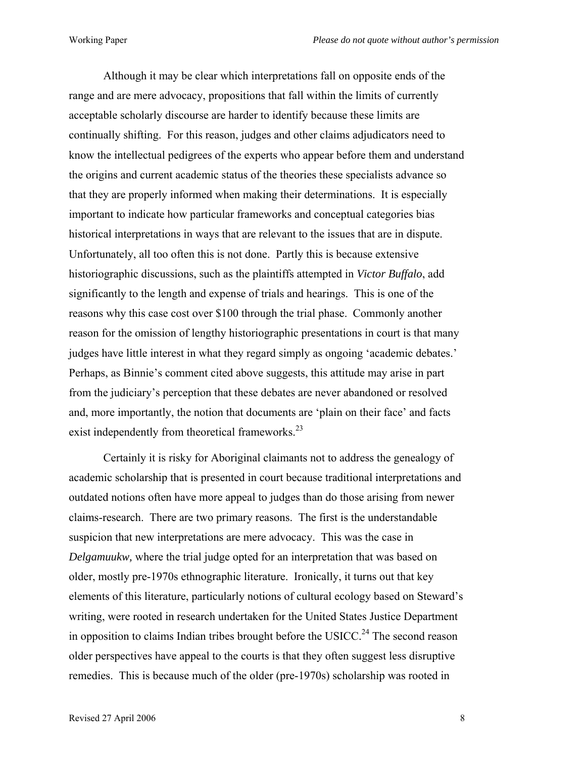Although it may be clear which interpretations fall on opposite ends of the range and are mere advocacy, propositions that fall within the limits of currently acceptable scholarly discourse are harder to identify because these limits are continually shifting. For this reason, judges and other claims adjudicators need to know the intellectual pedigrees of the experts who appear before them and understand the origins and current academic status of the theories these specialists advance so that they are properly informed when making their determinations. It is especially important to indicate how particular frameworks and conceptual categories bias historical interpretations in ways that are relevant to the issues that are in dispute. Unfortunately, all too often this is not done. Partly this is because extensive historiographic discussions, such as the plaintiffs attempted in *Victor Buffalo*, add significantly to the length and expense of trials and hearings. This is one of the reasons why this case cost over \$100 through the trial phase. Commonly another reason for the omission of lengthy historiographic presentations in court is that many judges have little interest in what they regard simply as ongoing 'academic debates.' Perhaps, as Binnie's comment cited above suggests, this attitude may arise in part from the judiciary's perception that these debates are never abandoned or resolved and, more importantly, the notion that documents are 'plain on their face' and facts exist independently from theoretical frameworks.<sup>23</sup>

Certainly it is risky for Aboriginal claimants not to address the genealogy of academic scholarship that is presented in court because traditional interpretations and outdated notions often have more appeal to judges than do those arising from newer claims-research. There are two primary reasons. The first is the understandable suspicion that new interpretations are mere advocacy. This was the case in *Delgamuukw,* where the trial judge opted for an interpretation that was based on older, mostly pre-1970s ethnographic literature. Ironically, it turns out that key elements of this literature, particularly notions of cultural ecology based on Steward's writing, were rooted in research undertaken for the United States Justice Department in opposition to claims Indian tribes brought before the USICC.<sup>24</sup> The second reason older perspectives have appeal to the courts is that they often suggest less disruptive remedies. This is because much of the older (pre-1970s) scholarship was rooted in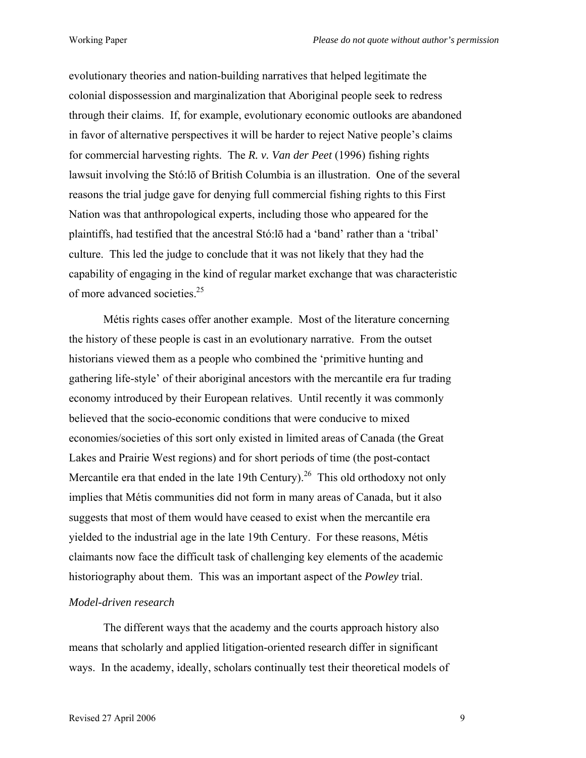evolutionary theories and nation-building narratives that helped legitimate the colonial dispossession and marginalization that Aboriginal people seek to redress through their claims. If, for example, evolutionary economic outlooks are abandoned in favor of alternative perspectives it will be harder to reject Native people's claims for commercial harvesting rights. The *R. v. Van der Peet* (1996) fishing rights lawsuit involving the Stó:lō of British Columbia is an illustration. One of the several reasons the trial judge gave for denying full commercial fishing rights to this First Nation was that anthropological experts, including those who appeared for the plaintiffs, had testified that the ancestral Stó:lō had a 'band' rather than a 'tribal' culture. This led the judge to conclude that it was not likely that they had the capability of engaging in the kind of regular market exchange that was characteristic of more advanced societies[.25](#page-37-24)

Métis rights cases offer another example. Most of the literature concerning the history of these people is cast in an evolutionary narrative. From the outset historians viewed them as a people who combined the 'primitive hunting and gathering life-style' of their aboriginal ancestors with the mercantile era fur trading economy introduced by their European relatives. Until recently it was commonly believed that the socio-economic conditions that were conducive to mixed economies/societies of this sort only existed in limited areas of Canada (the Great Lakes and Prairie West regions) and for short periods of time (the post-contact Mercantile era that ended in the late 19th Century).<sup>26</sup> This old orthodoxy not only implies that Métis communities did not form in many areas of Canada, but it also suggests that most of them would have ceased to exist when the mercantile era yielded to the industrial age in the late 19th Century. For these reasons, Métis claimants now face the difficult task of challenging key elements of the academic historiography about them. This was an important aspect of the *Powley* trial.

### *Model-driven research*

The different ways that the academy and the courts approach history also means that scholarly and applied litigation-oriented research differ in significant ways. In the academy, ideally, scholars continually test their theoretical models of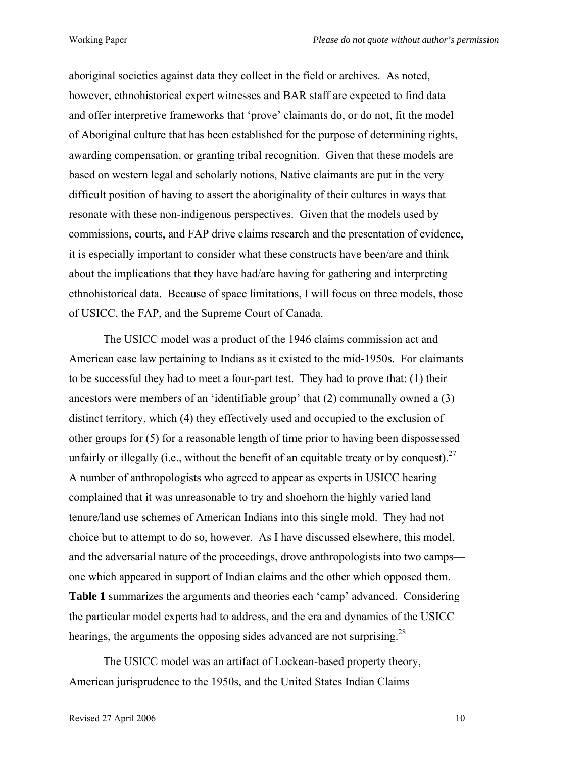aboriginal societies against data they collect in the field or archives. As noted, however, ethnohistorical expert witnesses and BAR staff are expected to find data and offer interpretive frameworks that 'prove' claimants do, or do not, fit the model of Aboriginal culture that has been established for the purpose of determining rights, awarding compensation, or granting tribal recognition. Given that these models are based on western legal and scholarly notions, Native claimants are put in the very difficult position of having to assert the aboriginality of their cultures in ways that resonate with these non-indigenous perspectives. Given that the models used by commissions, courts, and FAP drive claims research and the presentation of evidence, it is especially important to consider what these constructs have been/are and think about the implications that they have had/are having for gathering and interpreting ethnohistorical data. Because of space limitations, I will focus on three models, those of USICC, the FAP, and the Supreme Court of Canada.

The USICC model was a product of the 1946 claims commission act and American case law pertaining to Indians as it existed to the mid-1950s. For claimants to be successful they had to meet a four-part test. They had to prove that: (1) their ancestors were members of an 'identifiable group' that (2) communally owned a (3) distinct territory, which (4) they effectively used and occupied to the exclusion of other groups for (5) for a reasonable length of time prior to having been dispossessed unfairly or illegally (i.e., without the benefit of an equitable treaty or by conquest).<sup>27</sup> A number of anthropologists who agreed to appear as experts in USICC hearing complained that it was unreasonable to try and shoehorn the highly varied land tenure/land use schemes of American Indians into this single mold. They had not choice but to attempt to do so, however. As I have discussed elsewhere, this model, and the adversarial nature of the proceedings, drove anthropologists into two camps one which appeared in support of Indian claims and the other which opposed them. **Table 1** summarizes the arguments and theories each 'camp' advanced. Considering the particular model experts had to address, and the era and dynamics of the USICC hearings, the arguments the opposing sides advanced are not surprising.<sup>[28](#page-37-26)</sup>

The USICC model was an artifact of Lockean-based property theory, American jurisprudence to the 1950s, and the United States Indian Claims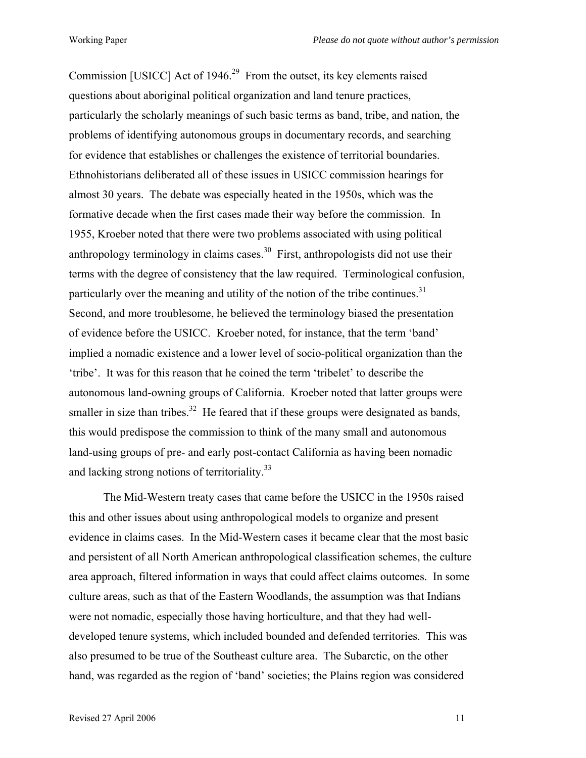Commission [USICC] Act of  $1946<sup>29</sup>$  From the outset, its key elements raised questions about aboriginal political organization and land tenure practices, particularly the scholarly meanings of such basic terms as band, tribe, and nation, the problems of identifying autonomous groups in documentary records, and searching for evidence that establishes or challenges the existence of territorial boundaries. Ethnohistorians deliberated all of these issues in USICC commission hearings for almost 30 years. The debate was especially heated in the 1950s, which was the formative decade when the first cases made their way before the commission. In 1955, Kroeber noted that there were two problems associated with using political anthropology terminology in claims cases.<sup>30</sup> First, anthropologists did not use their terms with the degree of consistency that the law required. Terminological confusion, particularly over the meaning and utility of the notion of the tribe continues.<sup>31</sup> Second, and more troublesome, he believed the terminology biased the presentation of evidence before the USICC. Kroeber noted, for instance, that the term 'band' implied a nomadic existence and a lower level of socio-political organization than the 'tribe'. It was for this reason that he coined the term 'tribelet' to describe the autonomous land-owning groups of California. Kroeber noted that latter groups were smaller in size than tribes.<sup>32</sup> He feared that if these groups were designated as bands, this would predispose the commission to think of the many small and autonomous land-using groups of pre- and early post-contact California as having been nomadic and lacking strong notions of territoriality.<sup>33</sup>

The Mid-Western treaty cases that came before the USICC in the 1950s raised this and other issues about using anthropological models to organize and present evidence in claims cases. In the Mid-Western cases it became clear that the most basic and persistent of all North American anthropological classification schemes, the culture area approach, filtered information in ways that could affect claims outcomes. In some culture areas, such as that of the Eastern Woodlands, the assumption was that Indians were not nomadic, especially those having horticulture, and that they had welldeveloped tenure systems, which included bounded and defended territories. This was also presumed to be true of the Southeast culture area. The Subarctic, on the other hand, was regarded as the region of 'band' societies; the Plains region was considered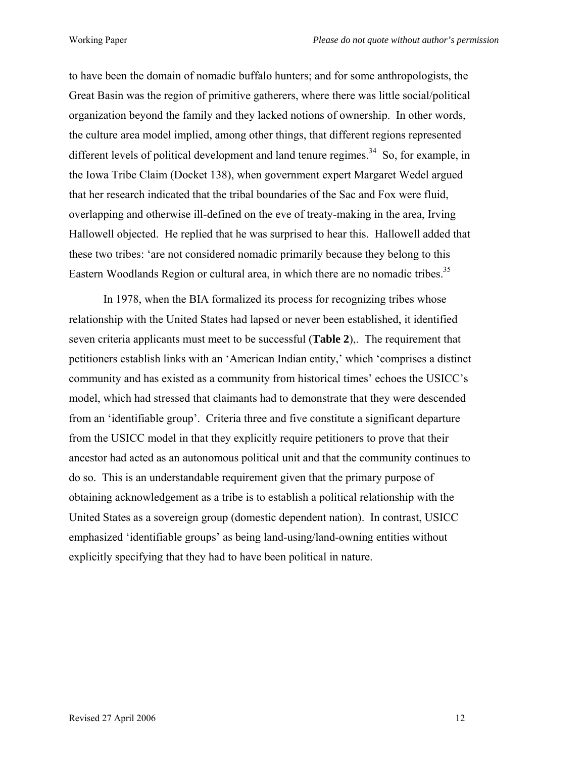to have been the domain of nomadic buffalo hunters; and for some anthropologists, the Great Basin was the region of primitive gatherers, where there was little social/political organization beyond the family and they lacked notions of ownership. In other words, the culture area model implied, among other things, that different regions represented different levels of political development and land tenure regimes.<sup>34</sup> So, for example, in the Iowa Tribe Claim (Docket 138), when government expert Margaret Wedel argued that her research indicated that the tribal boundaries of the Sac and Fox were fluid, overlapping and otherwise ill-defined on the eve of treaty-making in the area, Irving Hallowell objected. He replied that he was surprised to hear this. Hallowell added that these two tribes: 'are not considered nomadic primarily because they belong to this Eastern Woodlands Region or cultural area, in which there are no nomadic tribes.<sup>35</sup>

In 1978, when the BIA formalized its process for recognizing tribes whose relationship with the United States had lapsed or never been established, it identified seven criteria applicants must meet to be successful (**Table 2**),. The requirement that petitioners establish links with an 'American Indian entity,' which 'comprises a distinct community and has existed as a community from historical times' echoes the USICC's model, which had stressed that claimants had to demonstrate that they were descended from an 'identifiable group'. Criteria three and five constitute a significant departure from the USICC model in that they explicitly require petitioners to prove that their ancestor had acted as an autonomous political unit and that the community continues to do so. This is an understandable requirement given that the primary purpose of obtaining acknowledgement as a tribe is to establish a political relationship with the United States as a sovereign group (domestic dependent nation). In contrast, USICC emphasized 'identifiable groups' as being land-using/land-owning entities without explicitly specifying that they had to have been political in nature.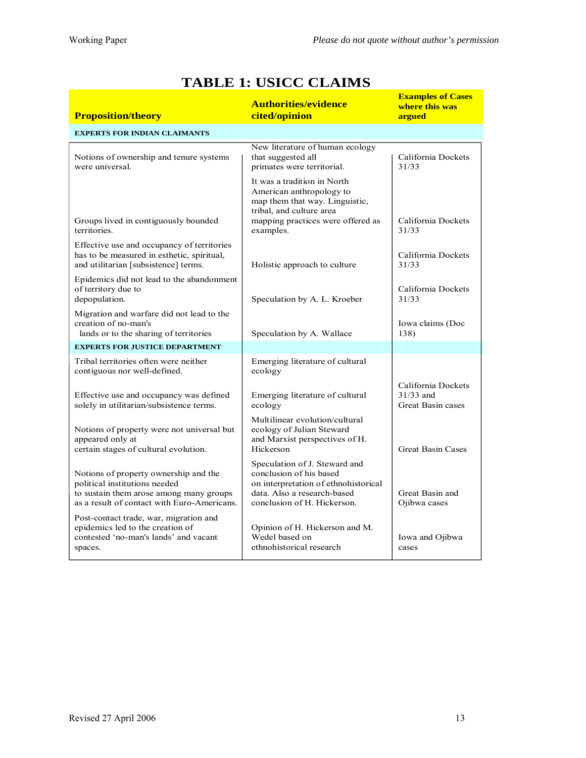| <b>Proposition/theory</b>                                                                                                                                        | <b>Authorities/evidence</b><br>cited/opinion                                                                                                                            | <b>Examples of Cases</b><br>where this was<br>argued          |  |  |
|------------------------------------------------------------------------------------------------------------------------------------------------------------------|-------------------------------------------------------------------------------------------------------------------------------------------------------------------------|---------------------------------------------------------------|--|--|
| <b>EXPERTS FOR INDIAN CLAIMANTS</b>                                                                                                                              |                                                                                                                                                                         |                                                               |  |  |
| Notions of ownership and tenure systems<br>were universal.                                                                                                       | New literature of human ecology<br>that suggested all<br>primates were territorial.                                                                                     | California Dockets<br>31/33                                   |  |  |
| Groups lived in contiguously bounded<br>territories                                                                                                              | It was a tradition in North<br>American anthropology to<br>map them that way. Linguistic,<br>tribal, and culture area<br>mapping practices were offered as<br>examples. | California Dockets<br>31/33                                   |  |  |
| Effective use and occupancy of territories<br>has to be measured in esthetic, spiritual,<br>and utilitarian [subsistence] terms.                                 | Holistic approach to culture                                                                                                                                            | California Dockets<br>31/33                                   |  |  |
| Epidemics did not lead to the abandonment<br>of territory due to<br>depopulation.                                                                                | Speculation by A. L. Kroeber                                                                                                                                            | California Dockets<br>31/33                                   |  |  |
| Migration and warfare did not lead to the<br>creation of no-man's<br>lands or to the sharing of territories                                                      | Speculation by A. Wallace                                                                                                                                               | Iowa claims (Doc<br>138)                                      |  |  |
| <b>EXPERTS FOR JUSTICE DEPARTMENT</b>                                                                                                                            |                                                                                                                                                                         |                                                               |  |  |
| Tribal territories often were neither<br>contiguous nor well-defined.                                                                                            | Emerging literature of cultural<br>ecology                                                                                                                              |                                                               |  |  |
| Effective use and occupancy was defined<br>solely in utilitarian/subsistence terms.                                                                              | Emerging literature of cultural<br>ecology                                                                                                                              | California Dockets<br>$31/33$ and<br><b>Great Basin cases</b> |  |  |
| Notions of property were not universal but<br>appeared only at<br>certain stages of cultural evolution.                                                          | Multilinear evolution/cultural<br>ecology of Julian Steward<br>and Marxist perspectives of H.<br>Hickerson                                                              | <b>Great Basin Cases</b>                                      |  |  |
| Notions of property ownership and the<br>political institutions needed<br>to sustain them arose among many groups<br>as a result of contact with Euro-Americans. | Speculation of J. Steward and<br>conclusion of his based<br>on interpretation of ethnohistorical<br>data. Also a research-based<br>conclusion of H. Hickerson.          | Great Basin and<br>Ojibwa cases                               |  |  |
| Post-contact trade, war, migration and<br>epidemics led to the creation of<br>contested 'no-man's lands' and vacant<br>spaces.                                   | Opinion of H. Hickerson and M.<br>Wedel based on<br>ethnohistorical research                                                                                            | Iowa and Ojibwa<br>cases                                      |  |  |

# **TABLE 1: USICC CLAIMS**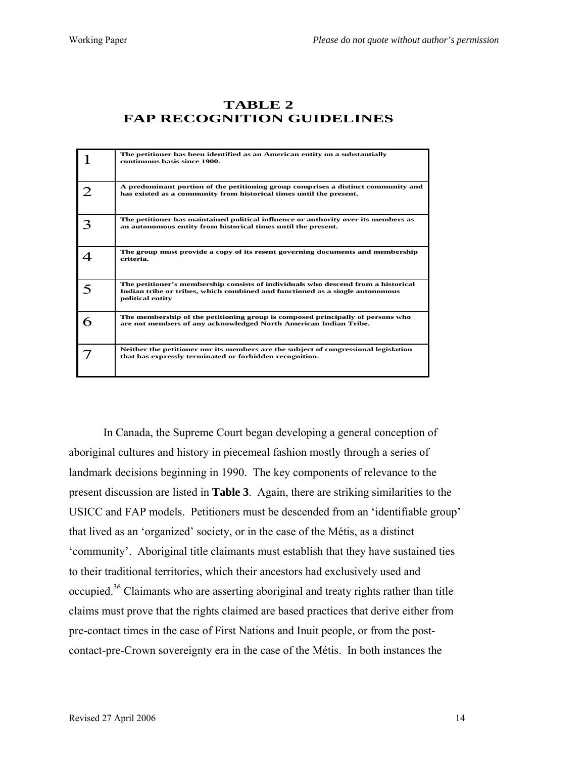## **TABLE 2 FAP RECOGNITION GUIDELINES**

|   | The petitioner has been identified as an American entity on a substantially<br>continuous basis since 1900.                                                                           |
|---|---------------------------------------------------------------------------------------------------------------------------------------------------------------------------------------|
|   | A predominant portion of the petitioning group comprises a distinct community and<br>has existed as a community from historical times until the present.                              |
|   | The petitioner has maintained political influence or authority over its members as<br>an autonomous entity from historical times until the present.                                   |
|   | The group must provide a copy of its resent governing documents and membership<br>criteria.                                                                                           |
|   | The petitioner's membership consists of individuals who descend from a historical<br>Indian tribe or tribes, which combined and functioned as a single autonomous<br>political entity |
| 6 | The membership of the petitioning group is composed principally of persons who<br>are not members of any acknowledged North American Indian Tribe.                                    |
|   | Neither the petitioner nor its members are the subject of congressional legislation<br>that has expressly terminated or forbidden recognition.                                        |

In Canada, the Supreme Court began developing a general conception of aboriginal cultures and history in piecemeal fashion mostly through a series of landmark decisions beginning in 1990. The key components of relevance to the present discussion are listed in **Table 3**. Again, there are striking similarities to the USICC and FAP models. Petitioners must be descended from an 'identifiable group' that lived as an 'organized' society, or in the case of the Métis, as a distinct 'community'. Aboriginal title claimants must establish that they have sustained ties to their traditional territories, which their ancestors had exclusively used and occupied.[36](#page-37-32) Claimants who are asserting aboriginal and treaty rights rather than title claims must prove that the rights claimed are based practices that derive either from pre-contact times in the case of First Nations and Inuit people, or from the postcontact-pre-Crown sovereignty era in the case of the Métis. In both instances the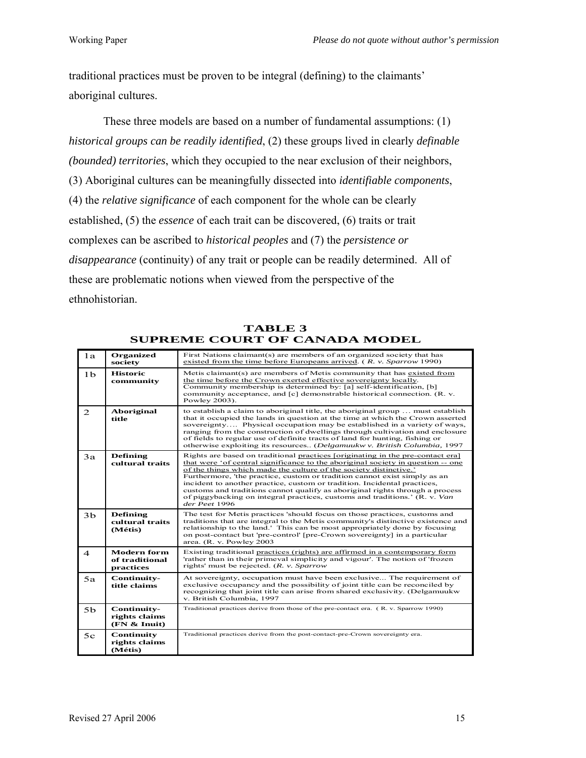traditional practices must be proven to be integral (defining) to the claimants' aboriginal cultures.

These three models are based on a number of fundamental assumptions: (1) *historical groups can be readily identified*, (2) these groups lived in clearly *definable (bounded) territories*, which they occupied to the near exclusion of their neighbors, (3) Aboriginal cultures can be meaningfully dissected into *identifiable components*, (4) the *relative significance* of each component for the whole can be clearly established, (5) the *essence* of each trait can be discovered, (6) traits or trait complexes can be ascribed to *historical peoples* and (7) the *persistence or disappearance* (continuity) of any trait or people can be readily determined. All of these are problematic notions when viewed from the perspective of the ethnohistorian.

| 1a             | <b>Organized</b><br>society                       | First Nations claimant(s) are members of an organized society that has<br>existed from the time before Europeans arrived. $(R. v.$ Sparrow 1990)                                                                                                                                                                                                                                                                                                                                                                                                                               |
|----------------|---------------------------------------------------|--------------------------------------------------------------------------------------------------------------------------------------------------------------------------------------------------------------------------------------------------------------------------------------------------------------------------------------------------------------------------------------------------------------------------------------------------------------------------------------------------------------------------------------------------------------------------------|
| 1 <sub>b</sub> | <b>Historic</b><br>community                      | Metis claimant(s) are members of Metis community that has existed from<br>the time before the Crown exerted effective sovereignty locally.<br>Community membership is determined by: [a] self-identification, [b]<br>community acceptance, and [c] demonstrable historical connection. (R. v.<br>Powley 2003).                                                                                                                                                                                                                                                                 |
| 2              | Aboriginal<br>title                               | to establish a claim to aboriginal title, the aboriginal group  must establish<br>that it occupied the lands in question at the time at which the Crown asserted<br>sovereignty Physical occupation may be established in a variety of ways,<br>ranging from the construction of dwellings through cultivation and enclosure<br>of fields to regular use of definite tracts of land for hunting, fishing or<br>otherwise exploiting its resources (Delgamuukw v. British Columbia, 1997                                                                                        |
| 3a             | <b>Defining</b><br>cultural traits                | Rights are based on traditional practices [originating in the pre-contact era]<br>that were 'of central significance to the aboriginal society in question -- one<br>of the things which made the culture of the society distinctive.'<br>Furthermore, 'the practice, custom or tradition cannot exist simply as an<br>incident to another practice, custom or tradition. Incidental practices,<br>customs and traditions cannot qualify as aboriginal rights through a process<br>of piggybacking on integral practices, customs and traditions.' (R. v. Van<br>der Peet 1996 |
| 3 <sub>b</sub> | <b>Defining</b><br>cultural traits<br>(Métis)     | The test for Metis practices 'should focus on those practices, customs and<br>traditions that are integral to the Metis community's distinctive existence and<br>relationship to the land. This can be most appropriately done by focusing<br>on post-contact but 'pre-control' [pre-Crown sovereignty] in a particular<br>area. (R. v. Powley 2003                                                                                                                                                                                                                            |
| $\overline{4}$ | <b>Modern form</b><br>of traditional<br>practices | Existing traditional practices (rights) are affirmed in a contemporary form<br>'rather than in their primeval simplicity and vigour'. The notion of 'frozen<br>rights' must be rejected. (R. v. Sparrow                                                                                                                                                                                                                                                                                                                                                                        |
| 5a             | Continuity-<br>title claims                       | At sovereignty, occupation must have been exclusive The requirement of<br>exclusive occupancy and the possibility of joint title can be reconciled by<br>recognizing that joint title can arise from shared exclusivity. (Delgamuukw<br>v. British Columbia, 1997                                                                                                                                                                                                                                                                                                              |
| 5 <sub>b</sub> | Continuity-<br>rights claims<br>(FN & Inuit)      | Traditional practices derive from those of the pre-contact era. (R. v. Sparrow 1990)                                                                                                                                                                                                                                                                                                                                                                                                                                                                                           |
| 5c             | Continuity<br>rights claims<br>(Métis)            | Traditional practices derive from the post-contact-pre-Crown sovereignty era.                                                                                                                                                                                                                                                                                                                                                                                                                                                                                                  |

**TABLE 3 SUPREME COURT OF CANADA MODEL**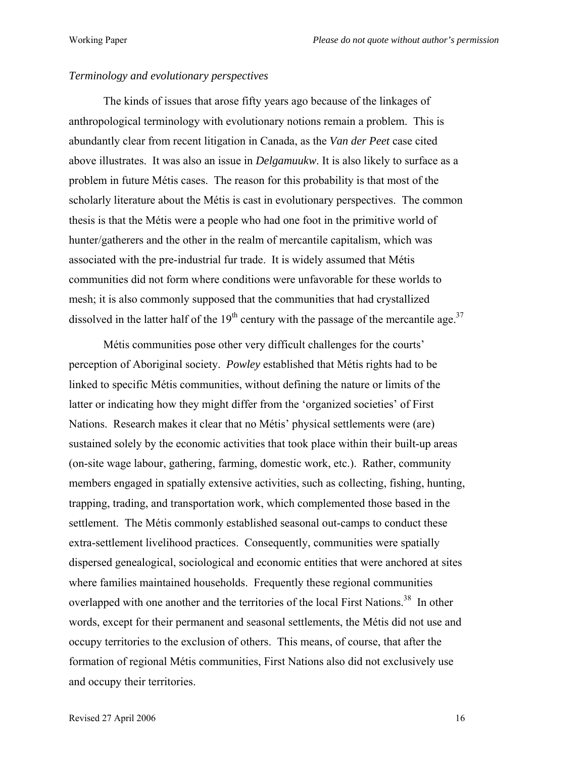### *Terminology and evolutionary perspectives*

The kinds of issues that arose fifty years ago because of the linkages of anthropological terminology with evolutionary notions remain a problem. This is abundantly clear from recent litigation in Canada, as the *Van der Peet* case cited above illustrates. It was also an issue in *Delgamuukw*. It is also likely to surface as a problem in future Métis cases. The reason for this probability is that most of the scholarly literature about the Métis is cast in evolutionary perspectives. The common thesis is that the Métis were a people who had one foot in the primitive world of hunter/gatherers and the other in the realm of mercantile capitalism, which was associated with the pre-industrial fur trade. It is widely assumed that Métis communities did not form where conditions were unfavorable for these worlds to mesh; it is also commonly supposed that the communities that had crystallized dissolved in the latter half of the  $19<sup>th</sup>$  century with the passage of the mercantile age.<sup>37</sup>

Métis communities pose other very difficult challenges for the courts' perception of Aboriginal society. *Powley* established that Métis rights had to be linked to specific Métis communities, without defining the nature or limits of the latter or indicating how they might differ from the 'organized societies' of First Nations. Research makes it clear that no Métis' physical settlements were (are) sustained solely by the economic activities that took place within their built-up areas (on-site wage labour, gathering, farming, domestic work, etc.). Rather, community members engaged in spatially extensive activities, such as collecting, fishing, hunting, trapping, trading, and transportation work, which complemented those based in the settlement. The Métis commonly established seasonal out-camps to conduct these extra-settlement livelihood practices. Consequently, communities were spatially dispersed genealogical, sociological and economic entities that were anchored at sites where families maintained households. Frequently these regional communities overlapped with one another and the territories of the local First Nations.<sup>38</sup> In other words, except for their permanent and seasonal settlements, the Métis did not use and occupy territories to the exclusion of others. This means, of course, that after the formation of regional Métis communities, First Nations also did not exclusively use and occupy their territories.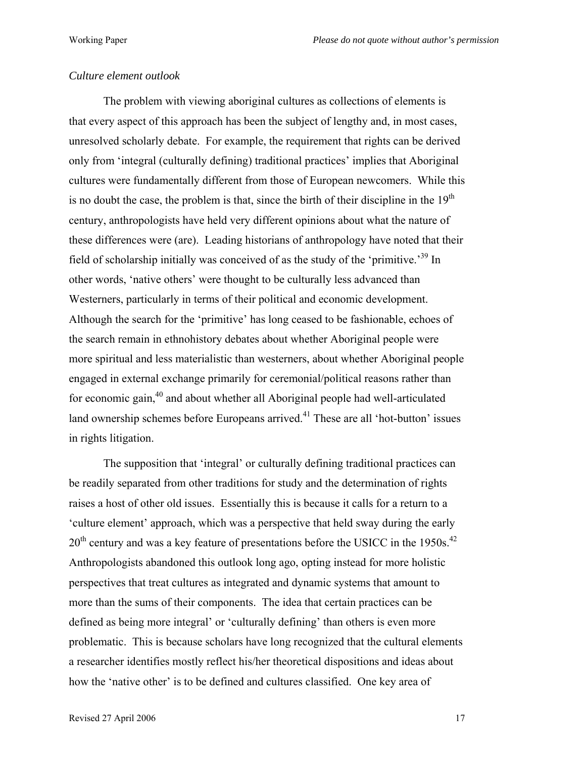### *Culture element outlook*

The problem with viewing aboriginal cultures as collections of elements is that every aspect of this approach has been the subject of lengthy and, in most cases, unresolved scholarly debate. For example, the requirement that rights can be derived only from 'integral (culturally defining) traditional practices' implies that Aboriginal cultures were fundamentally different from those of European newcomers. While this is no doubt the case, the problem is that, since the birth of their discipline in the  $19<sup>th</sup>$ century, anthropologists have held very different opinions about what the nature of these differences were (are). Leading historians of anthropology have noted that their field of scholarship initially was conceived of as the study of the 'primitive.['39](#page-37-24) In other words, 'native others' were thought to be culturally less advanced than Westerners, particularly in terms of their political and economic development. Although the search for the 'primitive' has long ceased to be fashionable, echoes of the search remain in ethnohistory debates about whether Aboriginal people were more spiritual and less materialistic than westerners, about whether Aboriginal people engaged in external exchange primarily for ceremonial/political reasons rather than for economic gain,[40](#page-37-34) and about whether all Aboriginal people had well-articulated land ownership schemes before Europeans arrived.<sup>41</sup> These are all 'hot-button' issues in rights litigation.

The supposition that 'integral' or culturally defining traditional practices can be readily separated from other traditions for study and the determination of rights raises a host of other old issues. Essentially this is because it calls for a return to a 'culture element' approach, which was a perspective that held sway during the early  $20<sup>th</sup>$  century and was a key feature of presentations before the USICC in the 1950s.<sup>[42](#page-37-35)</sup> Anthropologists abandoned this outlook long ago, opting instead for more holistic perspectives that treat cultures as integrated and dynamic systems that amount to more than the sums of their components. The idea that certain practices can be defined as being more integral' or 'culturally defining' than others is even more problematic. This is because scholars have long recognized that the cultural elements a researcher identifies mostly reflect his/her theoretical dispositions and ideas about how the 'native other' is to be defined and cultures classified. One key area of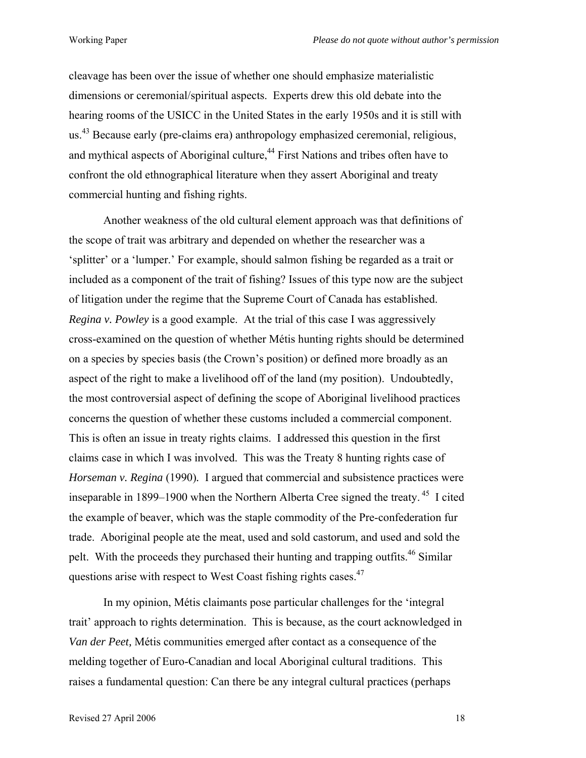cleavage has been over the issue of whether one should emphasize materialistic dimensions or ceremonial/spiritual aspects. Experts drew this old debate into the hearing rooms of the USICC in the United States in the early 1950s and it is still with us.<sup>43</sup> Because early (pre-claims era) anthropology emphasized ceremonial, religious, and mythical aspects of Aboriginal culture,<sup>44</sup> First Nations and tribes often have to confront the old ethnographical literature when they assert Aboriginal and treaty commercial hunting and fishing rights.

Another weakness of the old cultural element approach was that definitions of the scope of trait was arbitrary and depended on whether the researcher was a 'splitter' or a 'lumper.' For example, should salmon fishing be regarded as a trait or included as a component of the trait of fishing? Issues of this type now are the subject of litigation under the regime that the Supreme Court of Canada has established. *Regina v. Powley* is a good example. At the trial of this case I was aggressively cross-examined on the question of whether Métis hunting rights should be determined on a species by species basis (the Crown's position) or defined more broadly as an aspect of the right to make a livelihood off of the land (my position). Undoubtedly, the most controversial aspect of defining the scope of Aboriginal livelihood practices concerns the question of whether these customs included a commercial component. This is often an issue in treaty rights claims. I addressed this question in the first claims case in which I was involved. This was the Treaty 8 hunting rights case of *Horseman v. Regina* (1990). I argued that commercial and subsistence practices were inseparable in 1899–1900 when the Northern Alberta Cree signed the treaty. [45](#page-37-37) I cited the example of beaver, which was the staple commodity of the Pre-confederation fur trade. Aboriginal people ate the meat, used and sold castorum, and used and sold the pelt. With the proceeds they purchased their hunting and trapping outfits.<sup>46</sup> Similar questions arise with respect to West Coast fishing rights cases[.47](#page-37-15) 

In my opinion, Métis claimants pose particular challenges for the 'integral trait' approach to rights determination. This is because, as the court acknowledged in *Van der Peet,* Métis communities emerged after contact as a consequence of the melding together of Euro-Canadian and local Aboriginal cultural traditions. This raises a fundamental question: Can there be any integral cultural practices (perhaps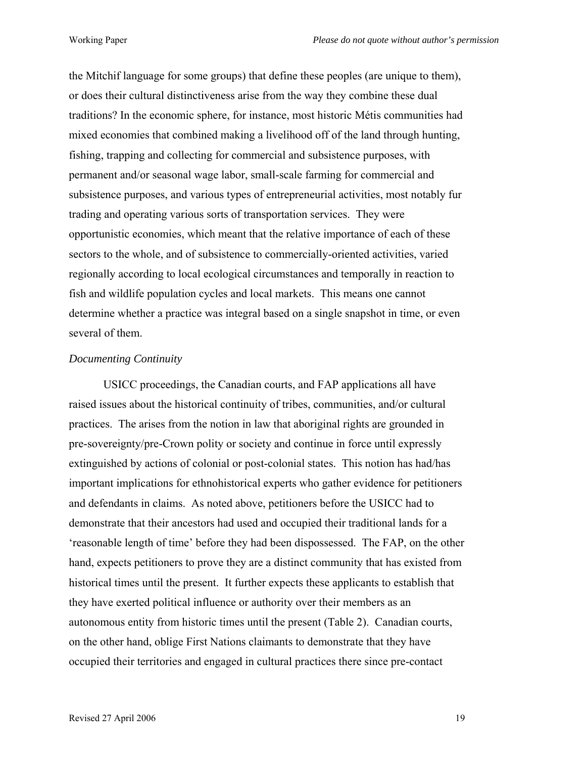the Mitchif language for some groups) that define these peoples (are unique to them), or does their cultural distinctiveness arise from the way they combine these dual traditions? In the economic sphere, for instance, most historic Métis communities had mixed economies that combined making a livelihood off of the land through hunting, fishing, trapping and collecting for commercial and subsistence purposes, with permanent and/or seasonal wage labor, small-scale farming for commercial and subsistence purposes, and various types of entrepreneurial activities, most notably fur trading and operating various sorts of transportation services. They were opportunistic economies, which meant that the relative importance of each of these sectors to the whole, and of subsistence to commercially-oriented activities, varied regionally according to local ecological circumstances and temporally in reaction to fish and wildlife population cycles and local markets. This means one cannot determine whether a practice was integral based on a single snapshot in time, or even several of them.

### *Documenting Continuity*

USICC proceedings, the Canadian courts, and FAP applications all have raised issues about the historical continuity of tribes, communities, and/or cultural practices. The arises from the notion in law that aboriginal rights are grounded in pre-sovereignty/pre-Crown polity or society and continue in force until expressly extinguished by actions of colonial or post-colonial states. This notion has had/has important implications for ethnohistorical experts who gather evidence for petitioners and defendants in claims. As noted above, petitioners before the USICC had to demonstrate that their ancestors had used and occupied their traditional lands for a 'reasonable length of time' before they had been dispossessed. The FAP, on the other hand, expects petitioners to prove they are a distinct community that has existed from historical times until the present. It further expects these applicants to establish that they have exerted political influence or authority over their members as an autonomous entity from historic times until the present (Table 2). Canadian courts, on the other hand, oblige First Nations claimants to demonstrate that they have occupied their territories and engaged in cultural practices there since pre-contact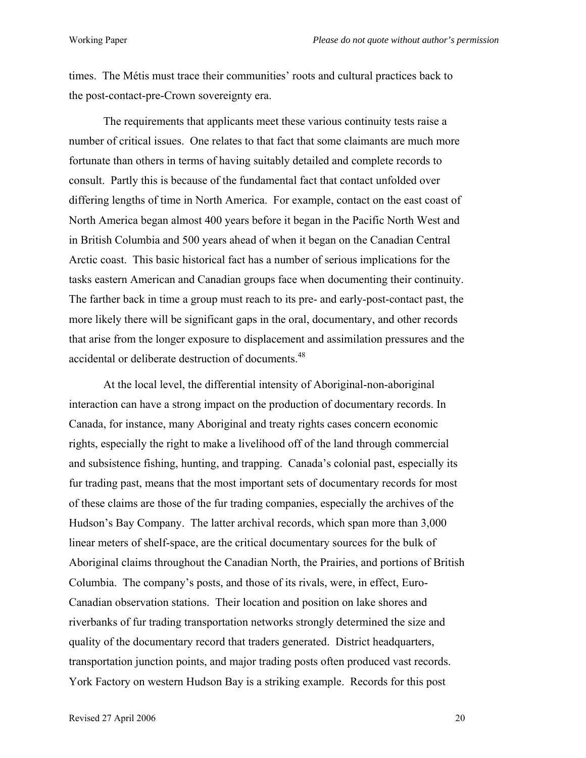times. The Métis must trace their communities' roots and cultural practices back to the post-contact-pre-Crown sovereignty era.

The requirements that applicants meet these various continuity tests raise a number of critical issues. One relates to that fact that some claimants are much more fortunate than others in terms of having suitably detailed and complete records to consult. Partly this is because of the fundamental fact that contact unfolded over differing lengths of time in North America. For example, contact on the east coast of North America began almost 400 years before it began in the Pacific North West and in British Columbia and 500 years ahead of when it began on the Canadian Central Arctic coast. This basic historical fact has a number of serious implications for the tasks eastern American and Canadian groups face when documenting their continuity. The farther back in time a group must reach to its pre- and early-post-contact past, the more likely there will be significant gaps in the oral, documentary, and other records that arise from the longer exposure to displacement and assimilation pressures and the accidental or deliberate destruction of documents.<sup>48</sup>

At the local level, the differential intensity of Aboriginal-non-aboriginal interaction can have a strong impact on the production of documentary records. In Canada, for instance, many Aboriginal and treaty rights cases concern economic rights, especially the right to make a livelihood off of the land through commercial and subsistence fishing, hunting, and trapping. Canada's colonial past, especially its fur trading past, means that the most important sets of documentary records for most of these claims are those of the fur trading companies, especially the archives of the Hudson's Bay Company. The latter archival records, which span more than 3,000 linear meters of shelf-space, are the critical documentary sources for the bulk of Aboriginal claims throughout the Canadian North, the Prairies, and portions of British Columbia. The company's posts, and those of its rivals, were, in effect, Euro-Canadian observation stations. Their location and position on lake shores and riverbanks of fur trading transportation networks strongly determined the size and quality of the documentary record that traders generated. District headquarters, transportation junction points, and major trading posts often produced vast records. York Factory on western Hudson Bay is a striking example. Records for this post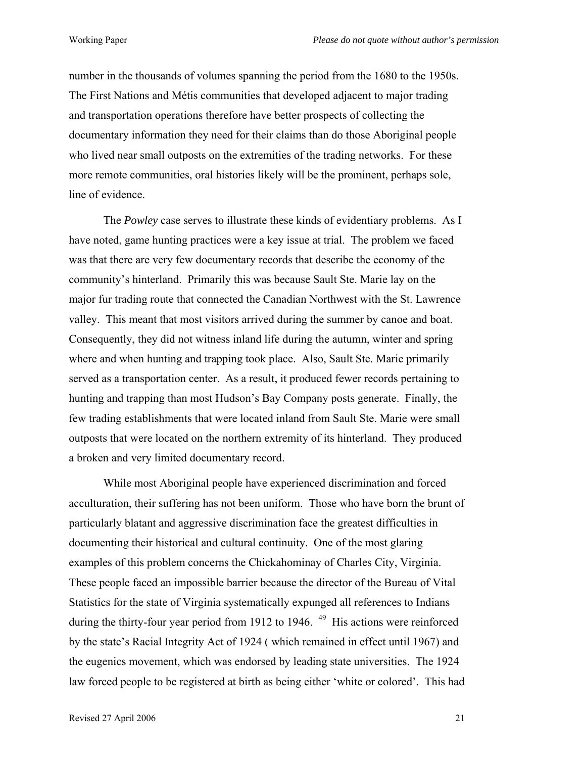number in the thousands of volumes spanning the period from the 1680 to the 1950s. The First Nations and Métis communities that developed adjacent to major trading and transportation operations therefore have better prospects of collecting the documentary information they need for their claims than do those Aboriginal people who lived near small outposts on the extremities of the trading networks. For these more remote communities, oral histories likely will be the prominent, perhaps sole, line of evidence.

The *Powley* case serves to illustrate these kinds of evidentiary problems. As I have noted, game hunting practices were a key issue at trial. The problem we faced was that there are very few documentary records that describe the economy of the community's hinterland. Primarily this was because Sault Ste. Marie lay on the major fur trading route that connected the Canadian Northwest with the St. Lawrence valley. This meant that most visitors arrived during the summer by canoe and boat. Consequently, they did not witness inland life during the autumn, winter and spring where and when hunting and trapping took place. Also, Sault Ste. Marie primarily served as a transportation center. As a result, it produced fewer records pertaining to hunting and trapping than most Hudson's Bay Company posts generate. Finally, the few trading establishments that were located inland from Sault Ste. Marie were small outposts that were located on the northern extremity of its hinterland. They produced a broken and very limited documentary record.

While most Aboriginal people have experienced discrimination and forced acculturation, their suffering has not been uniform. Those who have born the brunt of particularly blatant and aggressive discrimination face the greatest difficulties in documenting their historical and cultural continuity. One of the most glaring examples of this problem concerns the Chickahominay of Charles City, Virginia. These people faced an impossible barrier because the director of the Bureau of Vital Statistics for the state of Virginia systematically expunged all references to Indians during the thirty-four year period from 1912 to 1946. <sup>49</sup> His actions were reinforced by the state's Racial Integrity Act of 1924 ( which remained in effect until 1967) and the eugenics movement, which was endorsed by leading state universities. The 1924 law forced people to be registered at birth as being either 'white or colored'. This had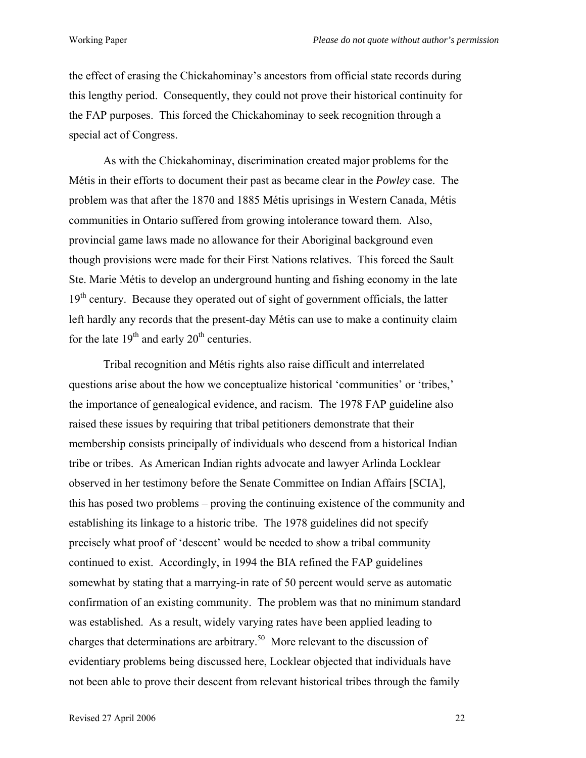the effect of erasing the Chickahominay's ancestors from official state records during this lengthy period. Consequently, they could not prove their historical continuity for the FAP purposes. This forced the Chickahominay to seek recognition through a special act of Congress.

As with the Chickahominay, discrimination created major problems for the Métis in their efforts to document their past as became clear in the *Powley* case. The problem was that after the 1870 and 1885 Métis uprisings in Western Canada, Métis communities in Ontario suffered from growing intolerance toward them. Also, provincial game laws made no allowance for their Aboriginal background even though provisions were made for their First Nations relatives. This forced the Sault Ste. Marie Métis to develop an underground hunting and fishing economy in the late 19<sup>th</sup> century. Because they operated out of sight of government officials, the latter left hardly any records that the present-day Métis can use to make a continuity claim for the late  $19<sup>th</sup>$  and early  $20<sup>th</sup>$  centuries.

Tribal recognition and Métis rights also raise difficult and interrelated questions arise about the how we conceptualize historical 'communities' or 'tribes,' the importance of genealogical evidence, and racism. The 1978 FAP guideline also raised these issues by requiring that tribal petitioners demonstrate that their membership consists principally of individuals who descend from a historical Indian tribe or tribes. As American Indian rights advocate and lawyer Arlinda Locklear observed in her testimony before the Senate Committee on Indian Affairs [SCIA], this has posed two problems – proving the continuing existence of the community and establishing its linkage to a historic tribe. The 1978 guidelines did not specify precisely what proof of 'descent' would be needed to show a tribal community continued to exist. Accordingly, in 1994 the BIA refined the FAP guidelines somewhat by stating that a marrying-in rate of 50 percent would serve as automatic confirmation of an existing community. The problem was that no minimum standard was established. As a result, widely varying rates have been applied leading to charges that determinations are arbitrary[.50](#page-37-41) More relevant to the discussion of evidentiary problems being discussed here, Locklear objected that individuals have not been able to prove their descent from relevant historical tribes through the family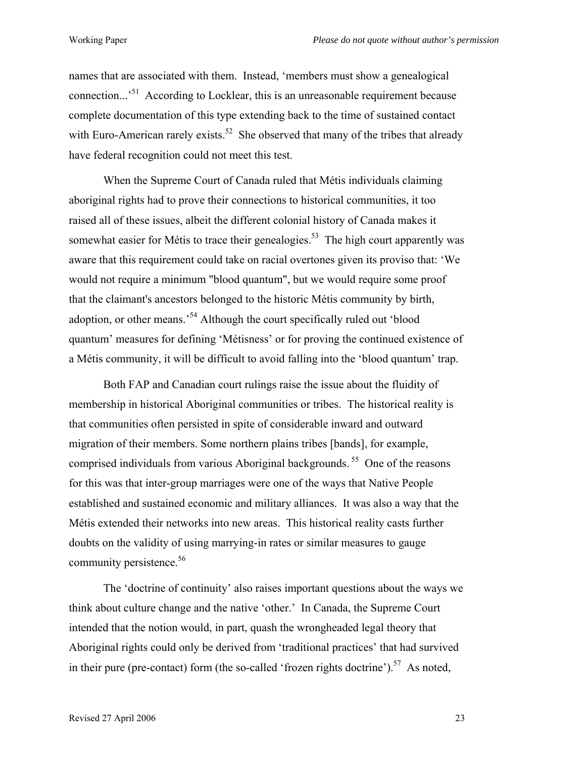names that are associated with them. Instead, 'members must show a genealogical connection...'[51](#page-37-18) According to Locklear, this is an unreasonable requirement because complete documentation of this type extending back to the time of sustained contact with Euro-American rarely exists.<sup>52</sup> She observed that many of the tribes that already have federal recognition could not meet this test.

When the Supreme Court of Canada ruled that Métis individuals claiming aboriginal rights had to prove their connections to historical communities, it too raised all of these issues, albeit the different colonial history of Canada makes it somewhat easier for Métis to trace their genealogies.<sup>53</sup> The high court apparently was aware that this requirement could take on racial overtones given its proviso that: 'We would not require a minimum "blood quantum", but we would require some proof that the claimant's ancestors belonged to the historic Métis community by birth, adoption, or other means.<sup>54</sup> Although the court specifically ruled out 'blood quantum' measures for defining 'Métisness' or for proving the continued existence of a Métis community, it will be difficult to avoid falling into the 'blood quantum' trap.

Both FAP and Canadian court rulings raise the issue about the fluidity of membership in historical Aboriginal communities or tribes. The historical reality is that communities often persisted in spite of considerable inward and outward migration of their members. Some northern plains tribes [bands], for example, comprised individuals from various Aboriginal backgrounds. [55](#page-37-20) One of the reasons for this was that inter-group marriages were one of the ways that Native People established and sustained economic and military alliances. It was also a way that the Métis extended their networks into new areas. This historical reality casts further doubts on the validity of using marrying-in rates or similar measures to gauge community persistence.<sup>56</sup>

The 'doctrine of continuity' also raises important questions about the ways we think about culture change and the native 'other.' In Canada, the Supreme Court intended that the notion would, in part, quash the wrongheaded legal theory that Aboriginal rights could only be derived from 'traditional practices' that had survived in their pure (pre-contact) form (the so-called 'frozen rights doctrine').<sup>57</sup> As noted,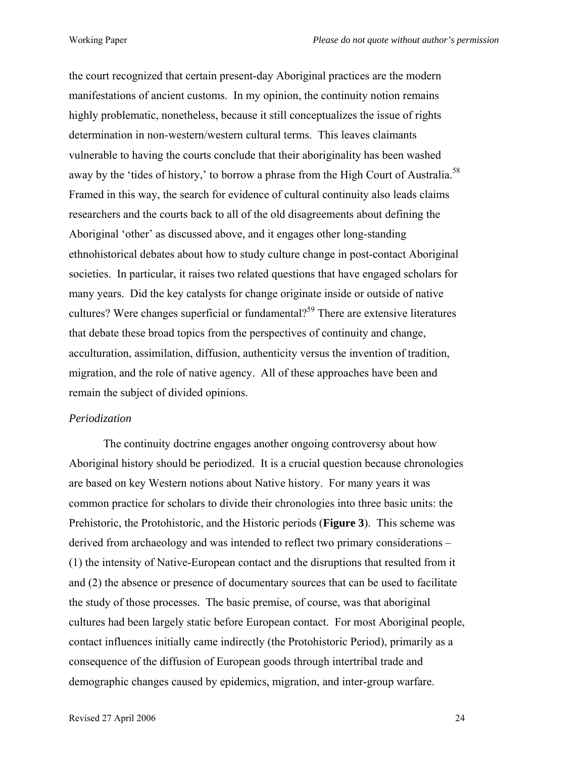the court recognized that certain present-day Aboriginal practices are the modern manifestations of ancient customs. In my opinion, the continuity notion remains highly problematic, nonetheless, because it still conceptualizes the issue of rights determination in non-western/western cultural terms. This leaves claimants vulnerable to having the courts conclude that their aboriginality has been washed away by the 'tides of history,' to borrow a phrase from the High Court of Australia.<sup>[58](#page-37-21)</sup> Framed in this way, the search for evidence of cultural continuity also leads claims researchers and the courts back to all of the old disagreements about defining the Aboriginal 'other' as discussed above, and it engages other long-standing ethnohistorical debates about how to study culture change in post-contact Aboriginal societies. In particular, it raises two related questions that have engaged scholars for many years. Did the key catalysts for change originate inside or outside of native cultures? Were changes superficial or fundamental?<sup>59</sup> There are extensive literatures that debate these broad topics from the perspectives of continuity and change, acculturation, assimilation, diffusion, authenticity versus the invention of tradition, migration, and the role of native agency. All of these approaches have been and remain the subject of divided opinions.

#### *Periodization*

The continuity doctrine engages another ongoing controversy about how Aboriginal history should be periodized. It is a crucial question because chronologies are based on key Western notions about Native history. For many years it was common practice for scholars to divide their chronologies into three basic units: the Prehistoric, the Protohistoric, and the Historic periods (**Figure 3**). This scheme was derived from archaeology and was intended to reflect two primary considerations – (1) the intensity of Native-European contact and the disruptions that resulted from it and (2) the absence or presence of documentary sources that can be used to facilitate the study of those processes. The basic premise, of course, was that aboriginal cultures had been largely static before European contact. For most Aboriginal people, contact influences initially came indirectly (the Protohistoric Period), primarily as a consequence of the diffusion of European goods through intertribal trade and demographic changes caused by epidemics, migration, and inter-group warfare.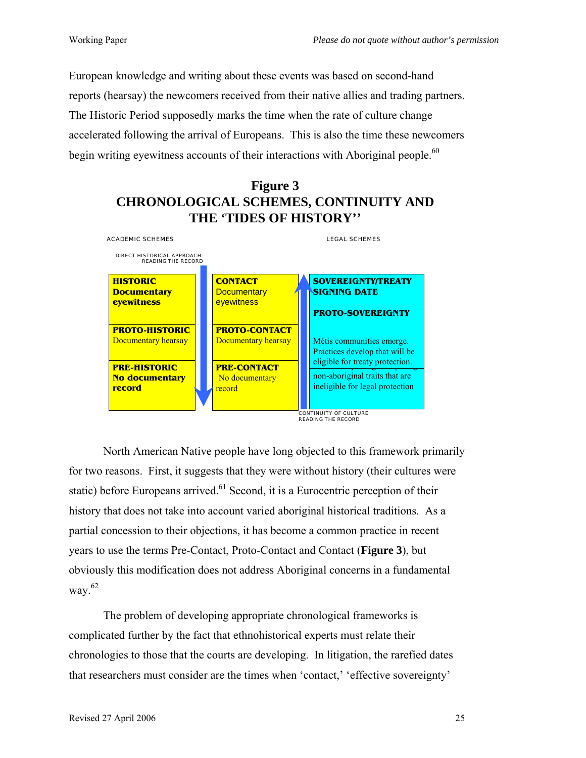European knowledge and writing about these events was based on second-hand reports (hearsay) the newcomers received from their native allies and trading partners. The Historic Period supposedly marks the time when the rate of culture change accelerated following the arrival of Europeans. This is also the time these newcomers begin writing eyewitness accounts of their interactions with Aboriginal people.<sup>60</sup>

# **Figure 3 CHRONOLOGICAL SCHEMES, CONTINUITY AND THE 'TIDES OF HISTORY''**



North American Native people have long objected to this framework primarily for two reasons. First, it suggests that they were without history (their cultures were static) before Europeans arrived.<sup>61</sup> Second, it is a Eurocentric perception of their history that does not take into account varied aboriginal historical traditions. As a partial concession to their objections, it has become a common practice in recent years to use the terms Pre-Contact, Proto-Contact and Contact (**Figure 3**), but obviously this modification does not address Aboriginal concerns in a fundamental way. $62$ 

The problem of developing appropriate chronological frameworks is complicated further by the fact that ethnohistorical experts must relate their chronologies to those that the courts are developing. In litigation, the rarefied dates that researchers must consider are the times when 'contact,' 'effective sovereignty'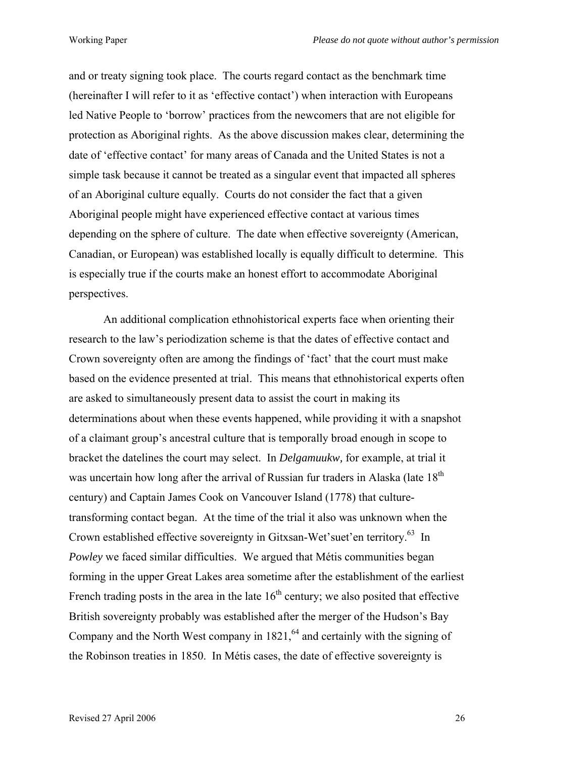and or treaty signing took place. The courts regard contact as the benchmark time (hereinafter I will refer to it as 'effective contact') when interaction with Europeans led Native People to 'borrow' practices from the newcomers that are not eligible for protection as Aboriginal rights. As the above discussion makes clear, determining the date of 'effective contact' for many areas of Canada and the United States is not a simple task because it cannot be treated as a singular event that impacted all spheres of an Aboriginal culture equally. Courts do not consider the fact that a given Aboriginal people might have experienced effective contact at various times depending on the sphere of culture. The date when effective sovereignty (American, Canadian, or European) was established locally is equally difficult to determine. This is especially true if the courts make an honest effort to accommodate Aboriginal perspectives.

An additional complication ethnohistorical experts face when orienting their research to the law's periodization scheme is that the dates of effective contact and Crown sovereignty often are among the findings of 'fact' that the court must make based on the evidence presented at trial. This means that ethnohistorical experts often are asked to simultaneously present data to assist the court in making its determinations about when these events happened, while providing it with a snapshot of a claimant group's ancestral culture that is temporally broad enough in scope to bracket the datelines the court may select. In *Delgamuukw,* for example, at trial it was uncertain how long after the arrival of Russian fur traders in Alaska (late 18<sup>th</sup>) century) and Captain James Cook on Vancouver Island (1778) that culturetransforming contact began. At the time of the trial it also was unknown when the Crown established effective sovereignty in Gitxsan-Wet'suet'en territory.<sup>63</sup> In *Powley* we faced similar difficulties. We argued that Métis communities began forming in the upper Great Lakes area sometime after the establishment of the earliest French trading posts in the area in the late  $16<sup>th</sup>$  century; we also posited that effective British sovereignty probably was established after the merger of the Hudson's Bay Company and the North West company in  $1821<sup>64</sup>$  and certainly with the signing of the Robinson treaties in 1850. In Métis cases, the date of effective sovereignty is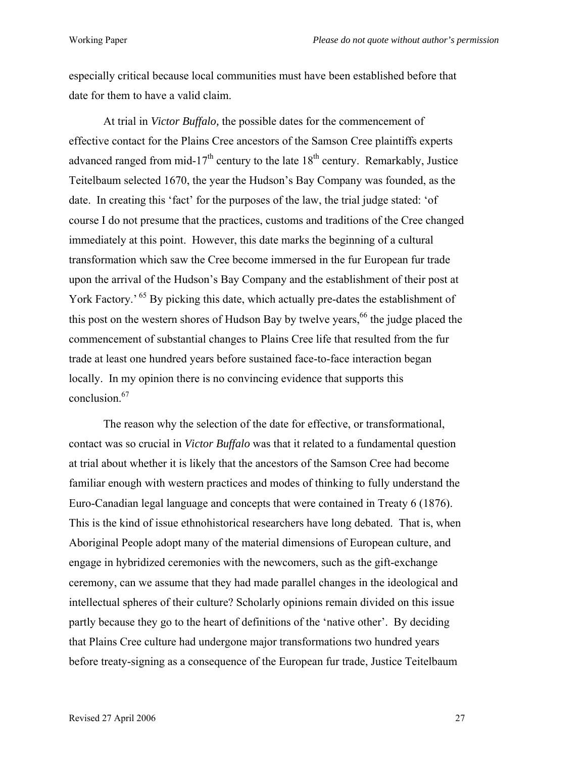especially critical because local communities must have been established before that date for them to have a valid claim.

At trial in *Victor Buffalo,* the possible dates for the commencement of effective contact for the Plains Cree ancestors of the Samson Cree plaintiffs experts advanced ranged from mid-17<sup>th</sup> century to the late  $18<sup>th</sup>$  century. Remarkably, Justice Teitelbaum selected 1670, the year the Hudson's Bay Company was founded, as the date. In creating this 'fact' for the purposes of the law, the trial judge stated: 'of course I do not presume that the practices, customs and traditions of the Cree changed immediately at this point. However, this date marks the beginning of a cultural transformation which saw the Cree become immersed in the fur European fur trade upon the arrival of the Hudson's Bay Company and the establishment of their post at York Factory.<sup>65</sup> By picking this date, which actually pre-dates the establishment of this post on the western shores of Hudson Bay by twelve years,  $66$  the judge placed the commencement of substantial changes to Plains Cree life that resulted from the fur trade at least one hundred years before sustained face-to-face interaction began locally. In my opinion there is no convincing evidence that supports this conclusion[.67](#page-37-47) 

The reason why the selection of the date for effective, or transformational, contact was so crucial in *Victor Buffalo* was that it related to a fundamental question at trial about whether it is likely that the ancestors of the Samson Cree had become familiar enough with western practices and modes of thinking to fully understand the Euro-Canadian legal language and concepts that were contained in Treaty 6 (1876). This is the kind of issue ethnohistorical researchers have long debated. That is, when Aboriginal People adopt many of the material dimensions of European culture, and engage in hybridized ceremonies with the newcomers, such as the gift-exchange ceremony, can we assume that they had made parallel changes in the ideological and intellectual spheres of their culture? Scholarly opinions remain divided on this issue partly because they go to the heart of definitions of the 'native other'. By deciding that Plains Cree culture had undergone major transformations two hundred years before treaty-signing as a consequence of the European fur trade, Justice Teitelbaum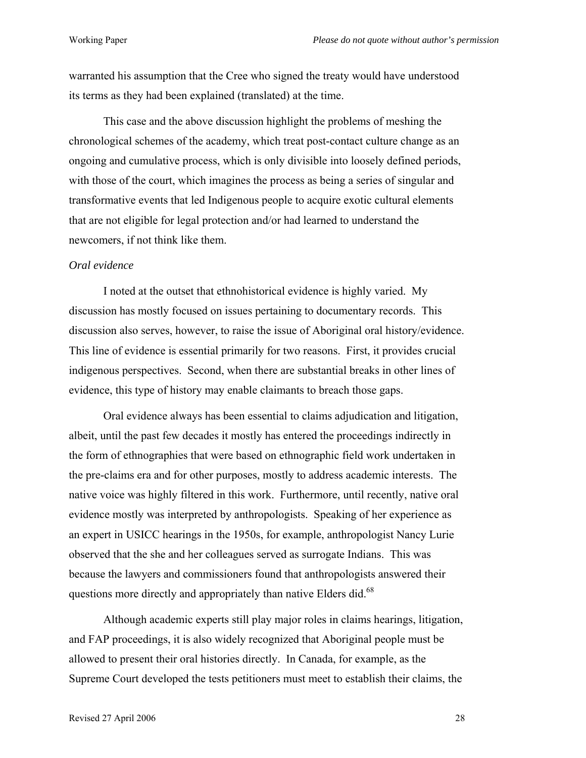warranted his assumption that the Cree who signed the treaty would have understood its terms as they had been explained (translated) at the time.

This case and the above discussion highlight the problems of meshing the chronological schemes of the academy, which treat post-contact culture change as an ongoing and cumulative process, which is only divisible into loosely defined periods, with those of the court, which imagines the process as being a series of singular and transformative events that led Indigenous people to acquire exotic cultural elements that are not eligible for legal protection and/or had learned to understand the newcomers, if not think like them.

### *Oral evidence*

I noted at the outset that ethnohistorical evidence is highly varied. My discussion has mostly focused on issues pertaining to documentary records. This discussion also serves, however, to raise the issue of Aboriginal oral history/evidence. This line of evidence is essential primarily for two reasons. First, it provides crucial indigenous perspectives. Second, when there are substantial breaks in other lines of evidence, this type of history may enable claimants to breach those gaps.

Oral evidence always has been essential to claims adjudication and litigation, albeit, until the past few decades it mostly has entered the proceedings indirectly in the form of ethnographies that were based on ethnographic field work undertaken in the pre-claims era and for other purposes, mostly to address academic interests. The native voice was highly filtered in this work. Furthermore, until recently, native oral evidence mostly was interpreted by anthropologists. Speaking of her experience as an expert in USICC hearings in the 1950s, for example, anthropologist Nancy Lurie observed that the she and her colleagues served as surrogate Indians. This was because the lawyers and commissioners found that anthropologists answered their questions more directly and appropriately than native Elders did.<sup>68</sup>

Although academic experts still play major roles in claims hearings, litigation, and FAP proceedings, it is also widely recognized that Aboriginal people must be allowed to present their oral histories directly. In Canada, for example, as the Supreme Court developed the tests petitioners must meet to establish their claims, the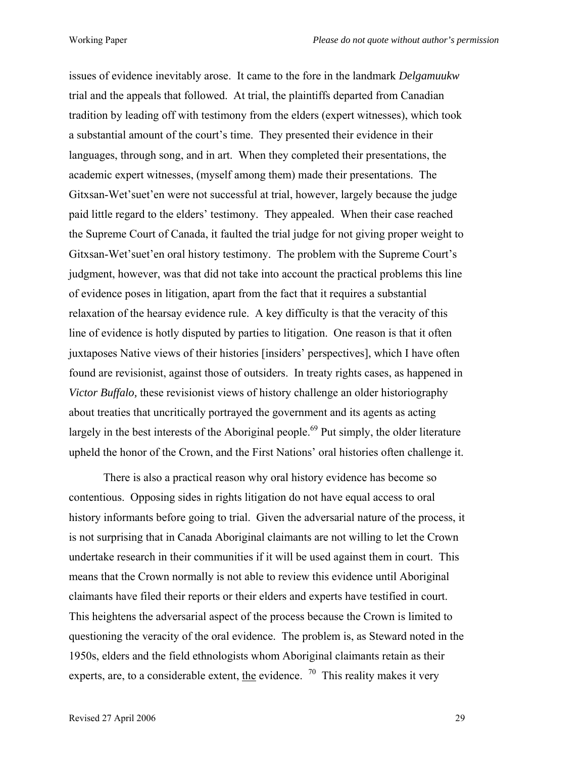issues of evidence inevitably arose. It came to the fore in the landmark *Delgamuukw* trial and the appeals that followed. At trial, the plaintiffs departed from Canadian tradition by leading off with testimony from the elders (expert witnesses), which took a substantial amount of the court's time. They presented their evidence in their languages, through song, and in art. When they completed their presentations, the academic expert witnesses, (myself among them) made their presentations. The Gitxsan-Wet'suet'en were not successful at trial, however, largely because the judge paid little regard to the elders' testimony. They appealed. When their case reached the Supreme Court of Canada, it faulted the trial judge for not giving proper weight to Gitxsan-Wet'suet'en oral history testimony. The problem with the Supreme Court's judgment, however, was that did not take into account the practical problems this line of evidence poses in litigation, apart from the fact that it requires a substantial relaxation of the hearsay evidence rule. A key difficulty is that the veracity of this line of evidence is hotly disputed by parties to litigation. One reason is that it often juxtaposes Native views of their histories [insiders' perspectives], which I have often found are revisionist, against those of outsiders. In treaty rights cases, as happened in *Victor Buffalo,* these revisionist views of history challenge an older historiography about treaties that uncritically portrayed the government and its agents as acting largely in the best interests of the Aboriginal people.<sup>69</sup> Put simply, the older literature upheld the honor of the Crown, and the First Nations' oral histories often challenge it.

There is also a practical reason why oral history evidence has become so contentious. Opposing sides in rights litigation do not have equal access to oral history informants before going to trial. Given the adversarial nature of the process, it is not surprising that in Canada Aboriginal claimants are not willing to let the Crown undertake research in their communities if it will be used against them in court. This means that the Crown normally is not able to review this evidence until Aboriginal claimants have filed their reports or their elders and experts have testified in court. This heightens the adversarial aspect of the process because the Crown is limited to questioning the veracity of the oral evidence. The problem is, as Steward noted in the 1950s, elders and the field ethnologists whom Aboriginal claimants retain as their experts, are, to a considerable extent, the evidence.  $70$  This reality makes it very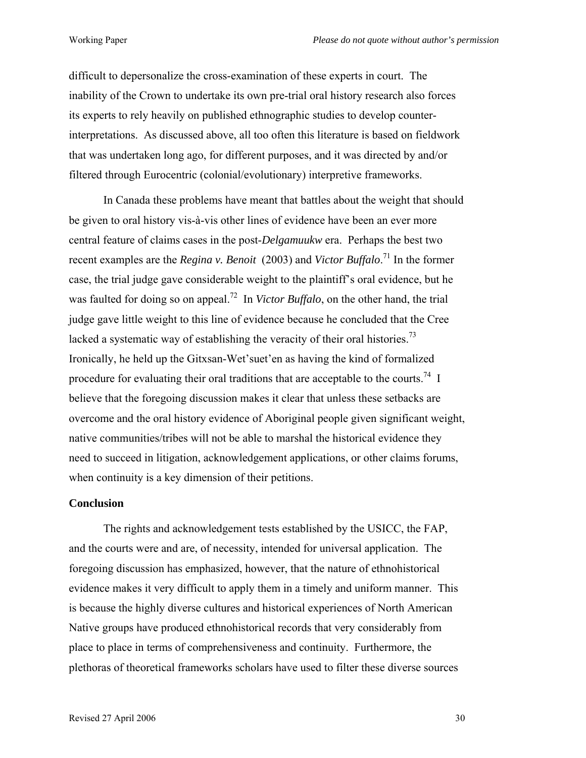difficult to depersonalize the cross-examination of these experts in court. The inability of the Crown to undertake its own pre-trial oral history research also forces its experts to rely heavily on published ethnographic studies to develop counterinterpretations. As discussed above, all too often this literature is based on fieldwork that was undertaken long ago, for different purposes, and it was directed by and/or filtered through Eurocentric (colonial/evolutionary) interpretive frameworks.

In Canada these problems have meant that battles about the weight that should be given to oral history vis-à-vis other lines of evidence have been an ever more central feature of claims cases in the post-*Delgamuukw* era. Perhaps the best two recent examples are the *Regina v. Benoit* (2003) and *Victor Buffalo*. [71](#page-37-29) In the former case, the trial judge gave considerable weight to the plaintiff's oral evidence, but he was faulted for doing so on appeal.<sup>72</sup> In *Victor Buffalo*, on the other hand, the trial judge gave little weight to this line of evidence because he concluded that the Cree lacked a systematic way of establishing the veracity of their oral histories.<sup>73</sup> Ironically, he held up the Gitxsan-Wet'suet'en as having the kind of formalized procedure for evaluating their oral traditions that are acceptable to the courts.<sup>74</sup> I believe that the foregoing discussion makes it clear that unless these setbacks are overcome and the oral history evidence of Aboriginal people given significant weight, native communities/tribes will not be able to marshal the historical evidence they need to succeed in litigation, acknowledgement applications, or other claims forums, when continuity is a key dimension of their petitions.

#### **Conclusion**

The rights and acknowledgement tests established by the USICC, the FAP, and the courts were and are, of necessity, intended for universal application. The foregoing discussion has emphasized, however, that the nature of ethnohistorical evidence makes it very difficult to apply them in a timely and uniform manner. This is because the highly diverse cultures and historical experiences of North American Native groups have produced ethnohistorical records that very considerably from place to place in terms of comprehensiveness and continuity. Furthermore, the plethoras of theoretical frameworks scholars have used to filter these diverse sources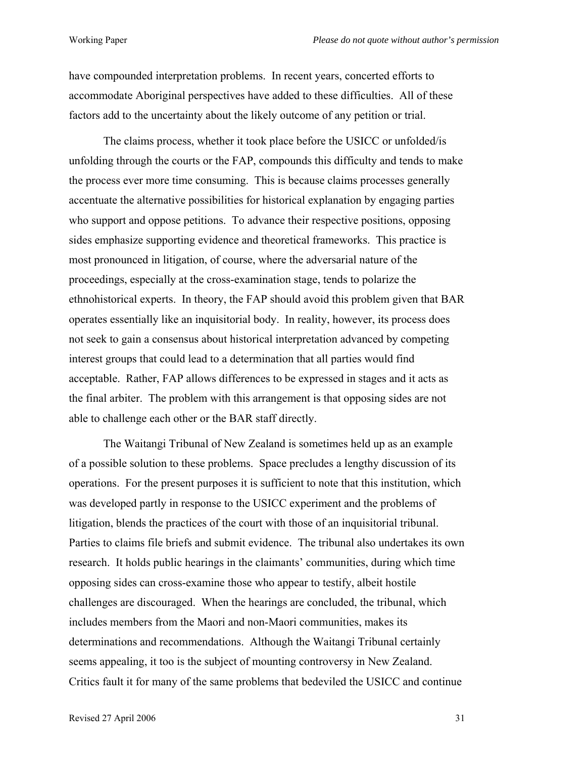have compounded interpretation problems. In recent years, concerted efforts to accommodate Aboriginal perspectives have added to these difficulties. All of these factors add to the uncertainty about the likely outcome of any petition or trial.

The claims process, whether it took place before the USICC or unfolded/is unfolding through the courts or the FAP, compounds this difficulty and tends to make the process ever more time consuming. This is because claims processes generally accentuate the alternative possibilities for historical explanation by engaging parties who support and oppose petitions. To advance their respective positions, opposing sides emphasize supporting evidence and theoretical frameworks. This practice is most pronounced in litigation, of course, where the adversarial nature of the proceedings, especially at the cross-examination stage, tends to polarize the ethnohistorical experts. In theory, the FAP should avoid this problem given that BAR operates essentially like an inquisitorial body. In reality, however, its process does not seek to gain a consensus about historical interpretation advanced by competing interest groups that could lead to a determination that all parties would find acceptable. Rather, FAP allows differences to be expressed in stages and it acts as the final arbiter. The problem with this arrangement is that opposing sides are not able to challenge each other or the BAR staff directly.

The Waitangi Tribunal of New Zealand is sometimes held up as an example of a possible solution to these problems. Space precludes a lengthy discussion of its operations. For the present purposes it is sufficient to note that this institution, which was developed partly in response to the USICC experiment and the problems of litigation, blends the practices of the court with those of an inquisitorial tribunal. Parties to claims file briefs and submit evidence. The tribunal also undertakes its own research. It holds public hearings in the claimants' communities, during which time opposing sides can cross-examine those who appear to testify, albeit hostile challenges are discouraged. When the hearings are concluded, the tribunal, which includes members from the Maori and non-Maori communities, makes its determinations and recommendations. Although the Waitangi Tribunal certainly seems appealing, it too is the subject of mounting controversy in New Zealand. Critics fault it for many of the same problems that bedeviled the USICC and continue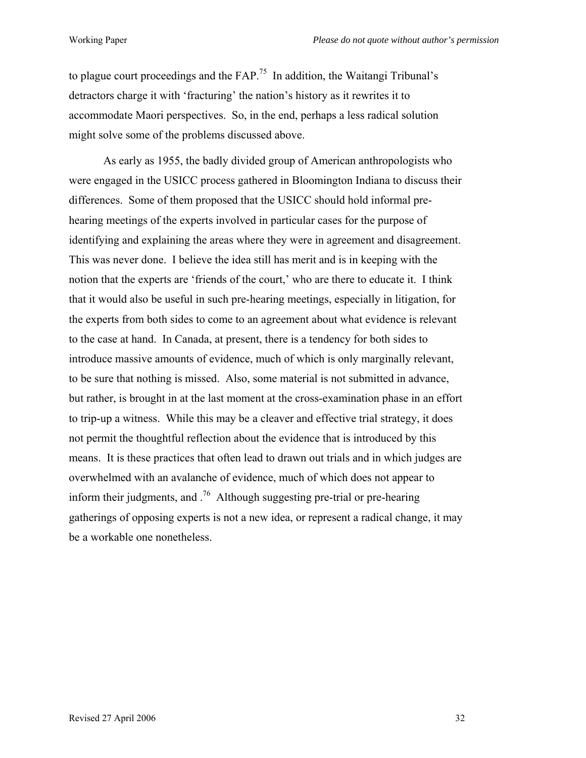to plague court proceedings and the  $FAP<sup>75</sup>$  In addition, the Waitangi Tribunal's detractors charge it with 'fracturing' the nation's history as it rewrites it to accommodate Maori perspectives. So, in the end, perhaps a less radical solution might solve some of the problems discussed above.

As early as 1955, the badly divided group of American anthropologists who were engaged in the USICC process gathered in Bloomington Indiana to discuss their differences. Some of them proposed that the USICC should hold informal prehearing meetings of the experts involved in particular cases for the purpose of identifying and explaining the areas where they were in agreement and disagreement. This was never done. I believe the idea still has merit and is in keeping with the notion that the experts are 'friends of the court,' who are there to educate it. I think that it would also be useful in such pre-hearing meetings, especially in litigation, for the experts from both sides to come to an agreement about what evidence is relevant to the case at hand. In Canada, at present, there is a tendency for both sides to introduce massive amounts of evidence, much of which is only marginally relevant, to be sure that nothing is missed. Also, some material is not submitted in advance, but rather, is brought in at the last moment at the cross-examination phase in an effort to trip-up a witness. While this may be a cleaver and effective trial strategy, it does not permit the thoughtful reflection about the evidence that is introduced by this means. It is these practices that often lead to drawn out trials and in which judges are overwhelmed with an avalanche of evidence, much of which does not appear to inform their judgments, and  $1/6$  Although suggesting pre-trial or pre-hearing gatherings of opposing experts is not a new idea, or represent a radical change, it may be a workable one nonetheless.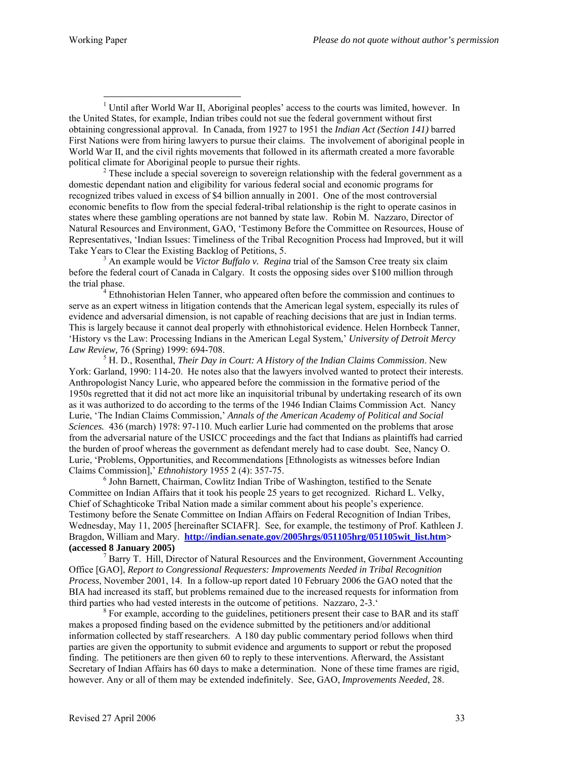$\overline{a}$ 

 $<sup>1</sup>$  Until after World War II, Aboriginal peoples' access to the courts was limited, however. In</sup> the United States, for example, Indian tribes could not sue the federal government without first obtaining congressional approval. In Canada, from 1927 to 1951 the *Indian Act (Section 141)* barred First Nations were from hiring lawyers to pursue their claims. The involvement of aboriginal people in World War II, and the civil rights movements that followed in its aftermath created a more favorable political climate for Aboriginal people to pursue their rights. 2

 $2^2$  These include a special sovereign to sovereign relationship with the federal government as a domestic dependant nation and eligibility for various federal social and economic programs for recognized tribes valued in excess of \$4 billion annually in 2001. One of the most controversial economic benefits to flow from the special federal-tribal relationship is the right to operate casinos in states where these gambling operations are not banned by state law. Robin M. Nazzaro, Director of Natural Resources and Environment, GAO, 'Testimony Before the Committee on Resources, House of Representatives, 'Indian Issues: Timeliness of the Tribal Recognition Process had Improved, but it will Take Years to Clear the Existing Backlog of Petitions, 5.

<sup>3</sup> An example would be *Victor Buffalo v. Regina* trial of the Samson Cree treaty six claim before the federal court of Canada in Calgary. It costs the opposing sides over \$100 million through the trial phase.

 Ethnohistorian Helen Tanner, who appeared often before the commission and continues to serve as an expert witness in litigation contends that the American legal system, especially its rules of evidence and adversarial dimension, is not capable of reaching decisions that are just in Indian terms. This is largely because it cannot deal properly with ethnohistorical evidence. Helen Hornbeck Tanner, 'History vs the Law: Processing Indians in the American Legal System,' *University of Detroit Mercy Law Review, 76 (Spring) 1999: 694-708.* 

 H. D., Rosenthal, *Their Day in Court: A History of the Indian Claims Commission*. New York: Garland, 1990: 114-20. He notes also that the lawyers involved wanted to protect their interests. Anthropologist Nancy Lurie, who appeared before the commission in the formative period of the 1950s regretted that it did not act more like an inquisitorial tribunal by undertaking research of its own as it was authorized to do according to the terms of the 1946 Indian Claims Commission Act. Nancy Lurie, 'The Indian Claims Commission,' *Annals of the American Academy of Political and Social Sciences.* 436 (march) 1978: 97-110. Much earlier Lurie had commented on the problems that arose from the adversarial nature of the USICC proceedings and the fact that Indians as plaintiffs had carried the burden of proof whereas the government as defendant merely had to case doubt. See, Nancy O. Lurie, 'Problems, Opportunities, and Recommendations [Ethnologists as witnesses before Indian Claims Commission],' *Ethnohistory* 1955 2 (4): 357-75. 6

 $\delta$  John Barnett, Chairman, Cowlitz Indian Tribe of Washington, testified to the Senate Committee on Indian Affairs that it took his people 25 years to get recognized. Richard L. Velky, Chief of Schaghticoke Tribal Nation made a similar comment about his people's experience. Testimony before the Senate Committee on Indian Affairs on Federal Recognition of Indian Tribes, Wednesday, May 11, 2005 [hereinafter SCIAFR]. See, for example, the testimony of Prof. Kathleen J. Bragdon, William and Mary. **[http://indian.senate.gov/2005hrgs/051105hrg/051105wit\\_list.htm](http://indian.senate.gov/2005hrgs/051105hrg/051105wit_list.htm)> (accessed 8 January 2005)** <sup>7</sup>

Barry T. Hill, Director of Natural Resources and the Environment, Government Accounting Office [GAO], *Report to Congressional Requesters: Improvements Needed in Tribal Recognition Process*, November 2001, 14. In a follow-up report dated 10 February 2006 the GAO noted that the BIA had increased its staff, but problems remained due to the increased requests for information from third parties who had vested interests in the outcome of petitions. Nazzaro, 2-3.' 8

 $8\,\text{For example, according to the guidelines, {petitioners present their case to BAR and its staff}$ makes a proposed finding based on the evidence submitted by the petitioners and/or additional information collected by staff researchers. A 180 day public commentary period follows when third parties are given the opportunity to submit evidence and arguments to support or rebut the proposed finding. The petitioners are then given 60 to reply to these interventions. Afterward, the Assistant Secretary of Indian Affairs has 60 days to make a determination. None of these time frames are rigid, however. Any or all of them may be extended indefinitely. See, GAO, *Improvements Needed*, 28.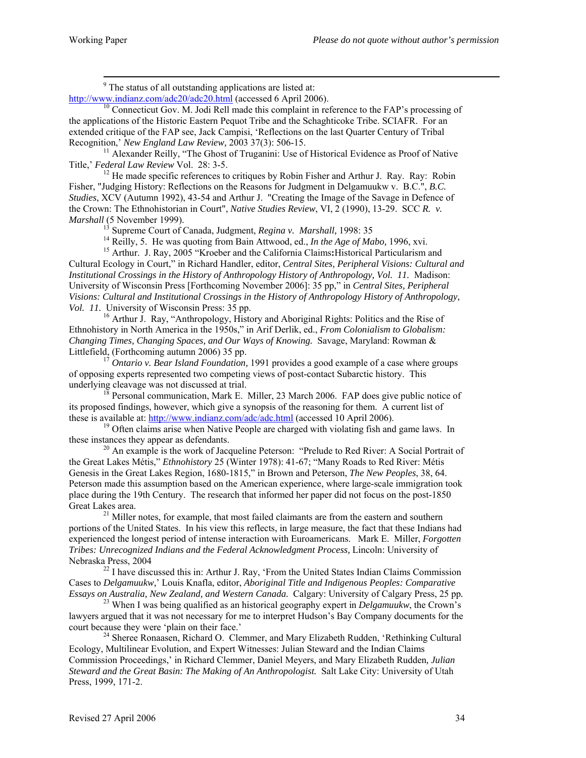-<br>9 <sup>9</sup> The status of all outstanding applications are listed at:<br> $\frac{http://www.indianz.com/adc20/adc20.html}{http://www.indianz.com/adc20/adc20.html}$  (accessed 6 April 2006).

 $heta$ <sup>0</sup> Connecticut Gov. M. Jodi Rell made this complaint in reference to the FAP's processing of the applications of the Historic Eastern Pequot Tribe and the Schaghticoke Tribe. SCIAFR. For an extended critique of the FAP see, Jack Campisi, 'Reflections on the last Quarter Century of Tribal Recognition,' New England Law Review, 2003 37(3): 506-15.

<sup>11</sup> Alexander Reilly, "The Ghost of Truganini: Use of Historical Evidence as Proof of Native Title,' *Federal Law Review* Vol. 28: 3-5.<br><sup>12</sup> He made specific references to critiques by Robin Fisher and Arthur J. Ray. Ray: Robin

Fisher, "Judging History: Reflections on the Reasons for Judgment in Delgamuukw v. B.C.", *B.C. Studies*, XCV (Autumn 1992), 43-54 and Arthur J. "Creating the Image of the Savage in Defence of the Crown: The Ethnohistorian in Court", *Native Studies Review*, VI, 2 (1990), 13-29. SCC *R. v. Marshall* (5 November 1999).<br><sup>13</sup> Supreme Court of Canada, Judgment, *Regina v. Marshall*, 1998: 35<br><sup>14</sup> Reilly, 5. He was quoting from Bain Attwood, ed., *In the Age of Mabo*, 1996, xvi.<br><sup>15</sup> Arthur. J. Ray, 2005 "Kroeb

Cultural Ecology in Court," in Richard Handler, editor, *Central Sites, Peripheral Visions: Cultural and Institutional Crossings in the History of Anthropology History of Anthropology, Vol. 11.* Madison: University of Wisconsin Press [Forthcoming November 2006]: 35 pp," in *Central Sites, Peripheral Visions: Cultural and Institutional Crossings in the History of Anthropology History of Anthropology,* 

*Vol. 11.* University of Wisconsin Press: 35 pp.<br><sup>16</sup> Arthur J. Ray, "Anthropology, History and Aboriginal Rights: Politics and the Rise of Ethnohistory in North America in the 1950s," in Arif Derlik, ed., *From Colonialism to Globalism: Changing Times, Changing Spaces, and Our Ways of Knowing.* Savage, Maryland: Rowman & Littlefield, (Forthcoming autumn 2006) 35 pp.<br><sup>17</sup> *Ontario v. Bear Island Foundation*, 1991 provides a good example of a case where groups

of opposing experts represented two competing views of post-contact Subarctic history. This

Personal communication, Mark E. Miller, 23 March 2006. FAP does give public notice of its proposed findings, however, which give a synopsis of the reasoning for them. A current list of these is available at: http://www.indianz.com/adc/adc.html (accessed 10 April 2006).<br><sup>19</sup> Often claims arise when Native People are charged with violating fish and game laws. In

these instances they appear as defendants.<br><sup>20</sup> An example is the work of Jacqueline Peterson: "Prelude to Red River: A Social Portrait of the Great Lakes Métis," *Ethnohistory* 25 (Winter 1978): 41-67; "Many Roads to Red River: Métis Genesis in the Great Lakes Region, 1680-1815," in Brown and Peterson, *The New Peoples*, 38, 64. Peterson made this assumption based on the American experience, where large-scale immigration took place during the 19th Century. The research that informed her paper did not focus on the post-1850 Great Lakes area.<br><sup>21</sup> Miller notes, for example, that most failed claimants are from the eastern and southern

portions of the United States. In his view this reflects, in large measure, the fact that these Indians had experienced the longest period of intense interaction with Euroamericans. Mark E. Miller, *Forgotten Tribes: Unrecognized Indians and the Federal Acknowledgment Process,* Lincoln: University of

Nebraska Press, 2004<br><sup>22</sup> I have discussed this in: Arthur J. Ray, 'From the United States Indian Claims Commission Cases to *Delgamuukw,*' Louis Knafla, editor, *Aboriginal Title and Indigenous Peoples: Comparative Essays on Australia, New Zealand, and Western Canada.* Calgary: University of Calgary Press, 25 pp*.* <sup>23</sup> When I was being qualified as an historical geography expert in *Delgamuukw*, the Crown's

lawyers argued that it was not necessary for me to interpret Hudson's Bay Company documents for the court because they were 'plain on their face.'

 $^{24}$  Sheree Ronaasen, Richard O. Clemmer, and Mary Elizabeth Rudden, 'Rethinking Cultural Ecology, Multilinear Evolution, and Expert Witnesses: Julian Steward and the Indian Claims Commission Proceedings,' in Richard Clemmer, Daniel Meyers, and Mary Elizabeth Rudden*, Julian Steward and the Great Basin: The Making of An Anthropologist.* Salt Lake City: University of Utah Press, 1999, 171-2.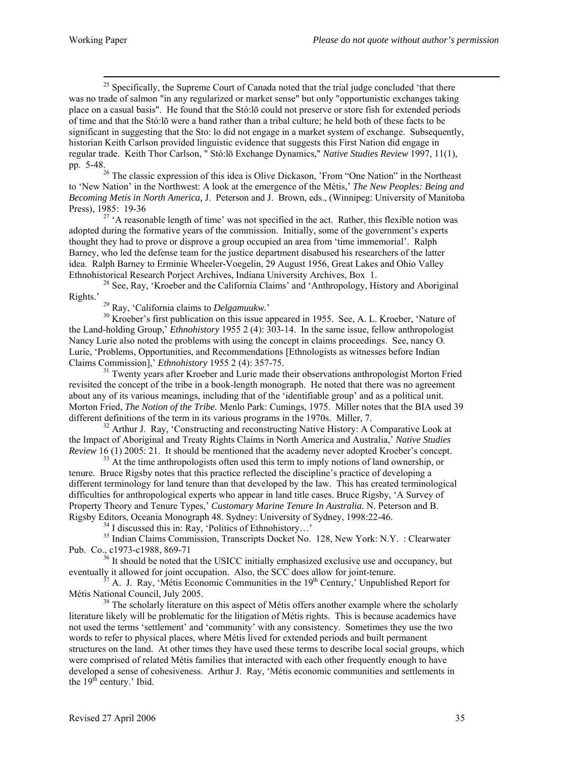$25$  Specifically, the Supreme Court of Canada noted that the trial judge concluded 'that there was no trade of salmon "in any regularized or market sense" but only "opportunistic exchanges taking place on a casual basis". He found that the Stó:lō could not preserve or store fish for extended periods of time and that the Stó:lō were a band rather than a tribal culture; he held both of these facts to be significant in suggesting that the Sto: lo did not engage in a market system of exchange. Subsequently, historian Keith Carlson provided linguistic evidence that suggests this First Nation did engage in regular trade. Keith Thor Carlson, " Stó:lō Exchange Dynamics," *Native Studies Review* 1997, 11(1), pp. 5-48.

 $26$  The classic expression of this idea is Olive Dickason, 'From "One Nation" in the Northeast to 'New Nation' in the Northwest: A look at the emergence of the Métis,' *The New Peoples: Being and Becoming Metis in North America,* J. Peterson and J. Brown, eds., (Winnipeg: University of Manitoba

Press), 1985: 19-36<br><sup>27</sup> 'A reasonable length of time' was not specified in the act. Rather, this flexible notion was adopted during the formative years of the commission. Initially, some of the government's experts thought they had to prove or disprove a group occupied an area from 'time immemorial'. Ralph Barney, who led the defense team for the justice department disabused his researchers of the latter idea. Ralph Barney to Erminie Wheeler-Voegelin, 29 August 1956, Great Lakes and Ohio Valley

Ethnohistorical Research Porject Archives, Indiana University Archives, Box 1.<br><sup>28</sup> See, Ray, 'Kroeber and the California Claims' and 'Anthropology, History and Aboriginal Rights.'

<sup>29</sup> Ray, 'California claims to *Delgamuukw*.'  $\frac{30}{100}$  Kroeber's first publication on this issue appeared in 1955. See, A. L. Kroeber, 'Nature of the Land-holding Group,' *Ethnohistory* 1955 2 (4): 303-14. In the same issue, fellow anthropologist Nancy Lurie also noted the problems with using the concept in claims proceedings. See, nancy O. Lurie, 'Problems, Opportunities, and Recommendations [Ethnologists as witnesses before Indian Claims Commission],' *Ethnohistory* 1955 2 (4): 357-75.

<sup>31</sup> Twenty years after Kroeber and Lurie made their observations anthropologist Morton Fried revisited the concept of the tribe in a book-length monograph. He noted that there was no agreement about any of its various meanings, including that of the 'identifiable group' and as a political unit. Morton Fried, *The Notion of the Tribe.* Menlo Park: Cumings, 1975. Miller notes that the BIA used 39 different definitions of the term in its various programs in the 1970s. Miller, 7. <sup>32</sup> Arthur J. Ray, 'Constructing and reconstructing Native History: A Comparative Look at

the Impact of Aboriginal and Treaty Rights Claims in North America and Australia,' *Native Studies Review* 16 (1) 2005: 21. It should be mentioned that the academy never adopted Kroeber's concept.<br><sup>33</sup> At the time anthropologists often used this term to imply notions of land ownership, or

tenure. Bruce Rigsby notes that this practice reflected the discipline's practice of developing a different terminology for land tenure than that developed by the law. This has created terminological difficulties for anthropological experts who appear in land title cases. Bruce Rigsby, 'A Survey of Property Theory and Tenure Types,' *Customary Marine Tenure In Australia.* N. Peterson and B. Rigsby Editors, Oceania Monograph 48. Sydney: University of Sydney, 1998:22-46.<br><sup>34</sup> I discussed this in: Ray, 'Politics of Ethnohistory…'<br><sup>35</sup> Indian Claims Commission, Transcripts Docket No. 128, New York: N.Y. : Clearwa

Pub. Co., c1973-c1988, 869-71<br><sup>36</sup> It should be noted that the USICC initially emphasized exclusive use and occupancy, but eventually it allowed for joint occupation. Also, the SCC does allow for joint-tenure.

 $^{37}$  A. J. Ray, 'Métis Economic Communities in the 19<sup>th</sup> Century,' Unpublished Report for

Métis National Council, July 2005.<br><sup>38</sup> The scholarly literature on this aspect of Métis offers another example where the scholarly literature likely will be problematic for the litigation of Métis rights. This is because academics have not used the terms 'settlement' and 'community' with any consistency. Sometimes they use the two words to refer to physical places, where Métis lived for extended periods and built permanent structures on the land. At other times they have used these terms to describe local social groups, which were comprised of related Métis families that interacted with each other frequently enough to have developed a sense of cohesiveness. Arthur J. Ray, 'Métis economic communities and settlements in the  $19<sup>th</sup>$  century.' Ibid.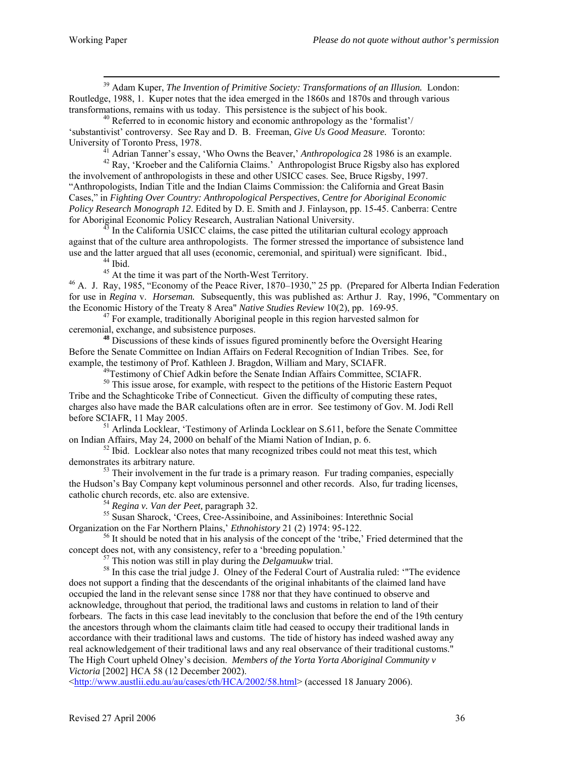39 Adam Kuper, *The Invention of Primitive Society: Transformations of an Illusion.* London: Routledge, 1988, 1. Kuper notes that the idea emerged in the 1860s and 1870s and through various transformations, remains with us today. This persistence is the subject of his book.<br><sup>40</sup> Referred to in economic history and economic anthropology as the 'formalist'/

'substantivist' controversy. See Ray and D. B. Freeman, *Give Us Good Measure.* Toronto:

University of Toronto Press, 1978.<br><sup>41</sup> Adrian Tanner's essay, 'Who Owns the Beaver,' *Anthropologica* 28 1986 is an example.<br><sup>42</sup> Ray, 'Kroeber and the California Claims.' Anthropologist Bruce Rigsby also has explored

the involvement of anthropologists in these and other USICC cases. See, Bruce Rigsby, 1997. "Anthropologists, Indian Title and the Indian Claims Commission: the California and Great Basin Cases," in *Fighting Over Country: Anthropological Perspectives*, *Centre for Aboriginal Economic Policy Research Monograph 12*. Edited by D. E. Smith and J. Finlayson, pp. 15-45. Canberra: Centre for Aboriginal Economic Policy Research, Australian National University. 43 In the California USICC claims, the case pitted the utilitarian cultural ecology approach

against that of the culture area anthropologists. The former stressed the importance of subsistence land use and the latter argued that all uses (economic, ceremonial, and spiritual) were significant. Ibid.,<br><sup>45</sup> At the time it was part of the North-West Territory.<br><sup>46</sup> A. J. Ray, 1985, "Economy of the Peace River, 1870–1930,

for use in *Regina* v. *Horseman*. Subsequently, this was published as: Arthur J. Ray, 1996, "Commentary on the Economic History of the Treaty 8 Area" *Native Studies Review* 10(2), pp. 169-95.

<sup>47</sup> For example, traditionally Aboriginal people in this region harvested salmon for ceremonial, exchange, and subsistence purposes.

**<sup>48</sup>** Discussions of these kinds of issues figured prominently before the Oversight Hearing Before the Senate Committee on Indian Affairs on Federal Recognition of Indian Tribes. See, for

 $^{49}$ Testimony of Chief Adkin before the Senate Indian Affairs Committee, SCIAFR.<br><sup>50</sup> This issue arose, for example, with respect to the petitions of the Historic Eastern Pequot Tribe and the Schaghticoke Tribe of Connecticut. Given the difficulty of computing these rates, charges also have made the BAR calculations often are in error. See testimony of Gov. M. Jodi Rell before SCIAFR, 11 May 2005.<br><sup>51</sup> Arlinda Locklear, 'Testimony of Arlinda Locklear on S.611, before the Senate Committee

on Indian Affairs, May 24, 2000 on behalf of the Miami Nation of Indian, p. 6.<br><sup>52</sup> Ibid. Locklear also notes that many recognized tribes could not meat this test, which

demonstrates its arbitrary nature.<br><sup>53</sup> Their involvement in the fur trade is a primary reason. Fur trading companies, especially the Hudson's Bay Company kept voluminous personnel and other records. Also, fur trading licenses,

catholic church records, etc. also are extensive.<br><sup>54</sup> *Regina v. Van der Peet*, paragraph 32.<br><sup>55</sup> Susan Sharock, 'Crees, Cree-Assiniboine, and Assiniboines: Interethnic Social<br>Organization on the Far Northern Plains,' *E* 

<sup>56</sup> It should be noted that in his analysis of the concept of the 'tribe,' Fried determined that the

concept does not, with any consistency, refer to a 'breeding population.'<br>
<sup>57</sup> This notion was still in play during the *Delgamuukw* trial.<br>
<sup>58</sup> In this case the trial judge J. Olney of the Federal Court of Australia ru does not support a finding that the descendants of the original inhabitants of the claimed land have occupied the land in the relevant sense since 1788 nor that they have continued to observe and acknowledge, throughout that period, the traditional laws and customs in relation to land of their forbears. The facts in this case lead inevitably to the conclusion that before the end of the 19th century the ancestors through whom the claimants claim title had ceased to occupy their traditional lands in accordance with their traditional laws and customs. The tide of history has indeed washed away any real acknowledgement of their traditional laws and any real observance of their traditional customs." The High Court upheld Olney's decision. *Members of the Yorta Yorta Aboriginal Community v Victoria* [2002] HCA 58 (12 December 2002).

<<http://www.austlii.edu.au/au/cases/cth/HCA/2002/58.html>> (accessed 18 January 2006).